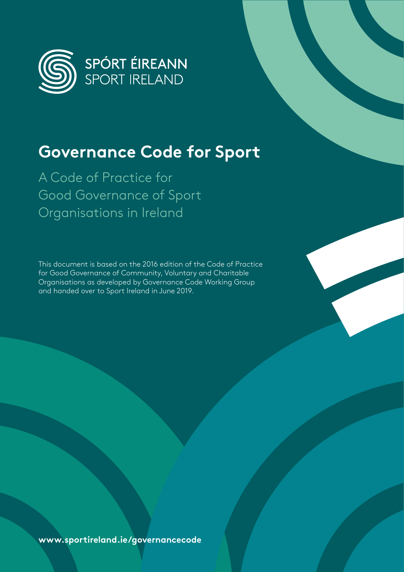

## **Governance Code for Sport**

A Code of Practice for Good Governance of Sport Organisations in Ireland

This document is based on the 2016 edition of the Code of Practice for Good Governance of Community, Voluntary and Charitable Organisations as developed by Governance Code Working Group and handed over to Sport Ireland in June 2019.

**www.sportireland.ie/governancecode**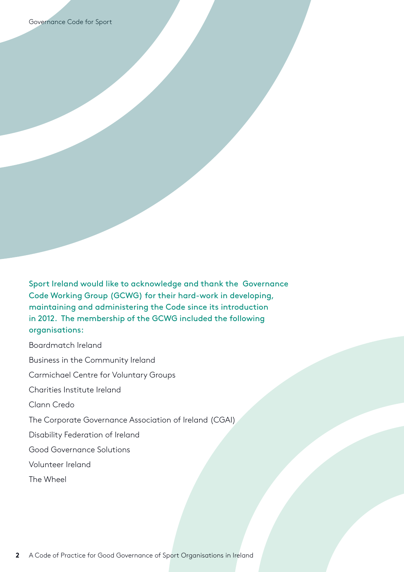Sport Ireland would like to acknowledge and thank the Governance Code Working Group (GCWG) for their hard-work in developing, maintaining and administering the Code since its introduction in 2012. The membership of the GCWG included the following organisations:

Boardmatch Ireland

Business in the Community Ireland

Carmichael Centre for Voluntary Groups

Charities Institute Ireland

Clann Credo

The Corporate Governance Association of Ireland (CGAI)

Disability Federation of Ireland

Good Governance Solutions

Volunteer Ireland

The Wheel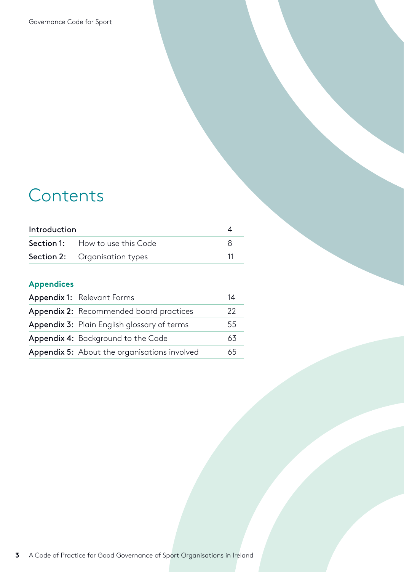# **Contents**

| Introduction |                                        |  |
|--------------|----------------------------------------|--|
|              | <b>Section 1:</b> How to use this Code |  |
|              | <b>Section 2:</b> Organisation types   |  |

## **Appendices**

| Appendix 1: Relevant Forms                     | 14 |
|------------------------------------------------|----|
| <b>Appendix 2:</b> Recommended board practices | 22 |
| Appendix 3: Plain English glossary of terms    | 55 |
| Appendix 4: Background to the Code             | 63 |
| Appendix 5: About the organisations involved   | 65 |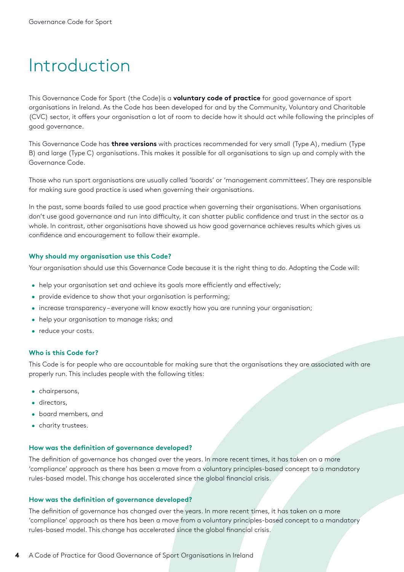## <span id="page-3-0"></span>Introduction

This Governance Code for Sport (the Code)is a **voluntary code of practice** for good governance of sport organisations in Ireland. As the Code has been developed for and by the Community, Voluntary and Charitable (CVC) sector, it offers your organisation a lot of room to decide how it should act while following the principles of good governance.

This Governance Code has **three versions** with practices recommended for very small (Type A), medium (Type B) and large (Type C) organisations. This makes it possible for all organisations to sign up and comply with the Governance Code.

Those who run sport organisations are usually called 'boards' or 'management committees'. They are responsible for making sure good practice is used when governing their organisations.

In the past, some boards failed to use good practice when governing their organisations. When organisations don't use good governance and run into difficulty, it can shatter public confidence and trust in the sector as a whole. In contrast, other organisations have showed us how good governance achieves results which gives us confidence and encouragement to follow their example.

#### **Why should my organisation use this Code?**

Your organisation should use this Governance Code because it is the right thing to do. Adopting the Code will:

- help your organisation set and achieve its goals more efficiently and effectively;
- provide evidence to show that your organisation is performing;
- increase transparency everyone will know exactly how you are running your organisation;
- help your organisation to manage risks; and
- reduce your costs.

#### **Who is this Code for?**

This Code is for people who are accountable for making sure that the organisations they are associated with are properly run. This includes people with the following titles:

- chairpersons,
- directors,
- board members, and
- charity trustees.

#### **How was the definition of governance developed?**

The definition of governance has changed over the years. In more recent times, it has taken on a more 'compliance' approach as there has been a move from a voluntary principles-based concept to a mandatory rules-based model. This change has accelerated since the global financial crisis.

#### **How was the definition of governance developed?**

The definition of governance has changed over the years. In more recent times, it has taken on a more 'compliance' approach as there has been a move from a voluntary principles-based concept to a mandatory rules-based model. This change has accelerated since the global financial crisis.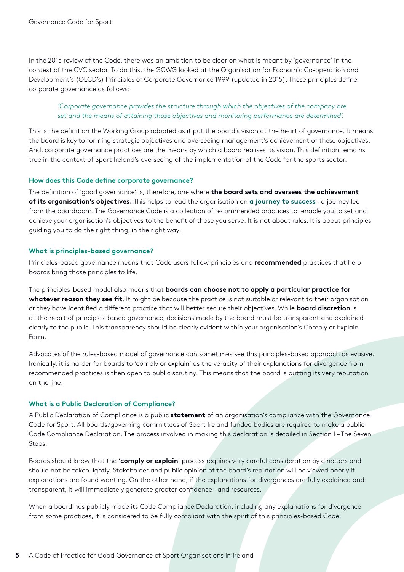In the 2015 review of the Code, there was an ambition to be clear on what is meant by 'governance' in the context of the CVC sector. To do this, the GCWG looked at the Organisation for Economic Co-operation and Development's (OECD's) Principles of Corporate Governance 1999 (updated in 2015). These principles define corporate governance as follows:

#### *'Corporate governance provides the structure through which the objectives of the company are set and the means of attaining those objectives and monitoring performance are determined'.*

This is the definition the Working Group adopted as it put the board's vision at the heart of governance. It means the board is key to forming strategic objectives and overseeing management's achievement of these objectives. And, corporate governance practices are the means by which a board realises its vision. This definition remains true in the context of Sport Ireland's overseeing of the implementation of the Code for the sports sector.

#### **How does this Code define corporate governance?**

The definition of 'good governance' is, therefore, one where **the board sets and oversees the achievement of its organisation's objectives.** This helps to lead the organisation on **a journey to success** – a journey led from the boardroom. The Governance Code is a collection of recommended practices to enable you to set and achieve your organisation's objectives to the benefit of those you serve. It is not about rules. It is about principles guiding you to do the right thing, in the right way.

#### **What is principles-based governance?**

Principles-based governance means that Code users follow principles and **recommended** practices that help boards bring those principles to life.

The principles-based model also means that **boards can choose not to apply a particular practice for whatever reason they see fit**. It might be because the practice is not suitable or relevant to their organisation or they have identified a different practice that will better secure their objectives. While **board discretion** is at the heart of principles-based governance, decisions made by the board must be transparent and explained clearly to the public. This transparency should be clearly evident within your organisation's Comply or Explain Form.

Advocates of the rules-based model of governance can sometimes see this principles-based approach as evasive. Ironically, it is harder for boards to 'comply or explain' as the veracity of their explanations for divergence from recommended practices is then open to public scrutiny. This means that the board is putting its very reputation on the line.

#### **What is a Public Declaration of Compliance?**

A Public Declaration of Compliance is a public **statement** of an organisation's compliance with the Governance Code for Sport. All boards/governing committees of Sport Ireland funded bodies are required to make a public Code Compliance Declaration. The process involved in making this declaration is detailed in Section 1 – The Seven Steps.

Boards should know that the '**comply or explain**' process requires very careful consideration by directors and should not be taken lightly. Stakeholder and public opinion of the board's reputation will be viewed poorly if explanations are found wanting. On the other hand, if the explanations for divergences are fully explained and transparent, it will immediately generate greater confidence – and resources.

When a board has publicly made its Code Compliance Declaration, including any explanations for divergence from some practices, it is considered to be fully compliant with the spirit of this principles-based Code.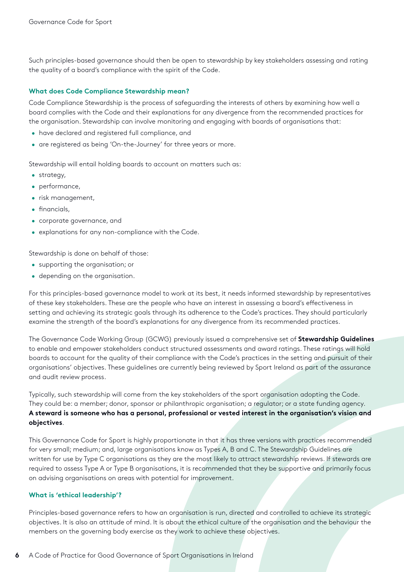Such principles-based governance should then be open to stewardship by key stakeholders assessing and rating the quality of a board's compliance with the spirit of the Code.

#### **What does Code Compliance Stewardship mean?**

Code Compliance Stewardship is the process of safeguarding the interests of others by examining how well a board complies with the Code and their explanations for any divergence from the recommended practices for the organisation. Stewardship can involve monitoring and engaging with boards of organisations that:

- have declared and registered full compliance, and
- are registered as being 'On-the-Journey' for three years or more.

Stewardship will entail holding boards to account on matters such as:

- strategy,
- performance,
- risk management,
- financials,
- corporate governance, and
- explanations for any non-compliance with the Code.

Stewardship is done on behalf of those:

- supporting the organisation; or
- depending on the organisation.

For this principles-based governance model to work at its best, it needs informed stewardship by representatives of these key stakeholders. These are the people who have an interest in assessing a board's effectiveness in setting and achieving its strategic goals through its adherence to the Code's practices. They should particularly examine the strength of the board's explanations for any divergence from its recommended practices.

The Governance Code Working Group (GCWG) previously issued a comprehensive set of **Stewardship Guidelines** to enable and empower stakeholders conduct structured assessments and award ratings. These ratings will hold boards to account for the quality of their compliance with the Code's practices in the setting and pursuit of their organisations' objectives. These guidelines are currently being reviewed by Sport Ireland as part of the assurance and audit review process.

Typically, such stewardship will come from the key stakeholders of the sport organisation adopting the Code. They could be: a member; donor, sponsor or philanthropic organisation; a regulator; or a state funding agency. **A steward is someone who has a personal, professional or vested interest in the organisation's vision and objectives**.

This Governance Code for Sport is highly proportionate in that it has three versions with practices recommended for very small; medium; and, large organisations know as Types A, B and C. The Stewardship Guidelines are written for use by Type C organisations as they are the most likely to attract stewardship reviews. If stewards are required to assess Type A or Type B organisations, it is recommended that they be supportive and primarily focus on advising organisations on areas with potential for improvement.

#### **What is 'ethical leadership'?**

Principles-based governance refers to how an organisation is run, directed and controlled to achieve its strategic objectives. It is also an attitude of mind. It is about the ethical culture of the organisation and the behaviour the members on the governing body exercise as they work to achieve these objectives.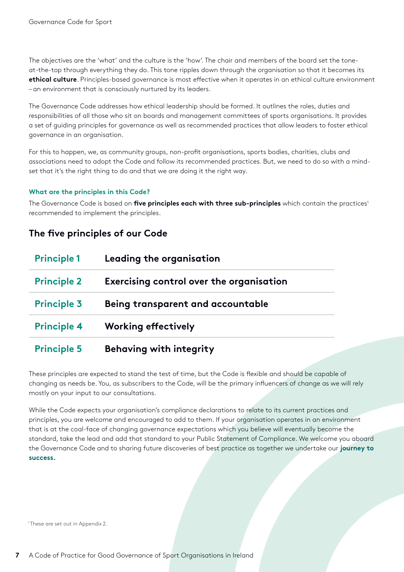The objectives are the 'what' and the culture is the 'how'. The chair and members of the board set the toneat-the-top through everything they do. This tone ripples down through the organisation so that it becomes its **ethical culture**. Principles-based governance is most effective when it operates in an ethical culture environment – an environment that is consciously nurtured by its leaders.

The Governance Code addresses how ethical leadership should be formed. It outlines the roles, duties and responsibilities of all those who sit on boards and management committees of sports organisations. It provides a set of guiding principles for governance as well as recommended practices that allow leaders to foster ethical governance in an organisation.

For this to happen, we, as community groups, non-profit organisations, sports bodies, charities, clubs and associations need to adopt the Code and follow its recommended practices. But, we need to do so with a mindset that it's the right thing to do and that we are doing it the right way.

#### **What are the principles in this Code?**

The Governance Code is based on *five principles each with three sub-principles* which contain the practices<sup>1</sup> recommended to implement the principles.

#### **The five principles of our Code**

| <b>Principle 1</b> | Leading the organisation                 |
|--------------------|------------------------------------------|
| <b>Principle 2</b> | Exercising control over the organisation |
| <b>Principle 3</b> | Being transparent and accountable        |
| <b>Principle 4</b> | <b>Working effectively</b>               |
| <b>Principle 5</b> | <b>Behaving with integrity</b>           |

These principles are expected to stand the test of time, but the Code is flexible and should be capable of changing as needs be. You, as subscribers to the Code, will be the primary influencers of change as we will rely mostly on your input to our consultations.

While the Code expects your organisation's compliance declarations to relate to its current practices and principles, you are welcome and encouraged to add to them. If your organisation operates in an environment that is at the coal-face of changing governance expectations which you believe will eventually become the standard, take the lead and add that standard to your Public Statement of Compliance. We welcome you aboard the Governance Code and to sharing future discoveries of best practice as together we undertake our **journey to success.**

<sup>1</sup>These are set out in Appendix 2.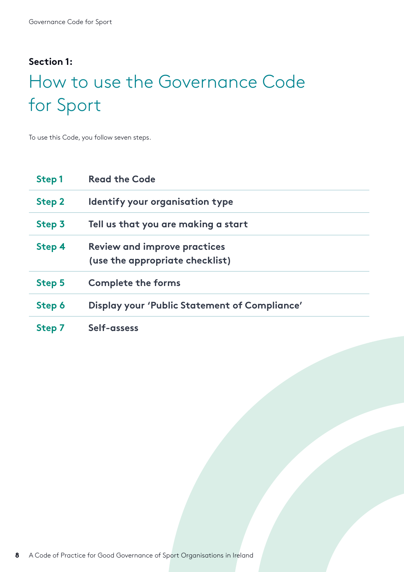### <span id="page-7-0"></span>**Section 1:**

# How to use the Governance Code for Sport

To use this Code, you follow seven steps.

| Step 1 | <b>Read the Code</b>                                                   |
|--------|------------------------------------------------------------------------|
| Step 2 | Identify your organisation type                                        |
| Step 3 | Tell us that you are making a start                                    |
| Step 4 | <b>Review and improve practices</b><br>(use the appropriate checklist) |
| Step 5 | <b>Complete the forms</b>                                              |
| Step 6 | Display your 'Public Statement of Compliance'                          |
| Step 7 | Self-assess                                                            |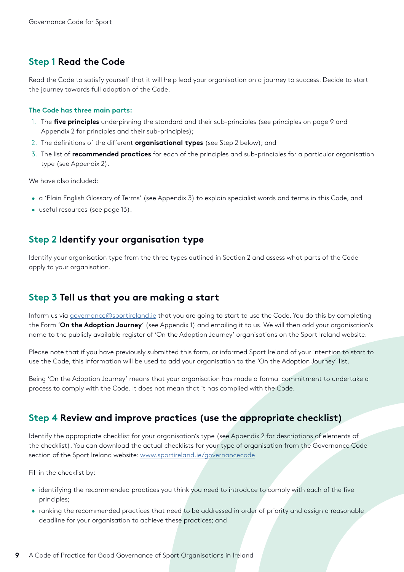### **Step 1 Read the Code**

Read the Code to satisfy yourself that it will help lead your organisation on a journey to success. Decide to start the journey towards full adoption of the Code.

#### **The Code has three main parts:**

- 1. The **five principles** underpinning the standard and their sub-principles (see principles on page 9 and Appendix 2 for principles and their sub-principles);
- 2. The definitions of the different **organisational types** (see Step 2 below); and
- 3. The list of **recommended practices** for each of the principles and sub-principles for a particular organisation type (see Appendix 2).

We have also included:

- a 'Plain English Glossary of Terms' (see Appendix 3) to explain specialist words and terms in this Code, and
- useful resources (see page 13).

### **Step 2 Identify your organisation type**

Identify your organisation type from the three types outlined in Section 2 and assess what parts of the Code apply to your organisation.

### **Step 3 Tell us that you are making a start**

Inform us via [governance@sportireland.ie](mailto:governance@sportireland.ie) that you are going to start to use the Code. You do this by completing the Form '**On the Adoption Journey**' (see Appendix 1) and emailing it to us. We will then add your organisation's name to the publicly available register of 'On the Adoption Journey' organisations on the Sport Ireland website.

Please note that if you have previously submitted this form, or informed Sport Ireland of your intention to start to use the Code, this information will be used to add your organisation to the 'On the Adoption Journey' list.

Being 'On the Adoption Journey' means that your organisation has made a formal commitment to undertake a process to comply with the Code. It does not mean that it has complied with the Code.

### **Step 4 Review and improve practices (use the appropriate checklist)**

Identify the appropriate checklist for your organisation's type (see Appendix 2 for descriptions of elements of the checklist). You can download the actual checklists for your type of organisation from the Governance Code section of the Sport Ireland website: <www.sportireland.ie/governancecode>

Fill in the checklist by:

- identifying the recommended practices you think you need to introduce to comply with each of the five principles;
- ranking the recommended practices that need to be addressed in order of priority and assign a reasonable deadline for your organisation to achieve these practices; and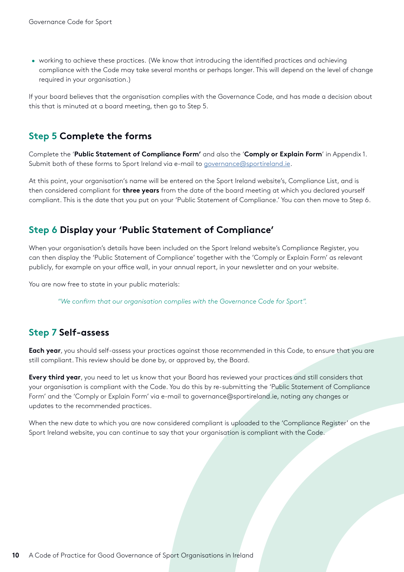• working to achieve these practices. (We know that introducing the identified practices and achieving compliance with the Code may take several months or perhaps longer. This will depend on the level of change required in your organisation.)

If your board believes that the organisation complies with the Governance Code, and has made a decision about this that is minuted at a board meeting, then go to Step 5.

### **Step 5 Complete the forms**

Complete the '**Public Statement of Compliance Form'** and also the '**Comply or Explain Form**' in Appendix 1. Submit both of these forms to Sport Ireland via e-mail to [governance@sportireland.ie.](mailto:governance@sportireland.ie)

At this point, your organisation's name will be entered on the Sport Ireland website's, Compliance List, and is then considered compliant for **three years** from the date of the board meeting at which you declared yourself compliant. This is the date that you put on your 'Public Statement of Compliance.' You can then move to Step 6.

### **Step 6 Display your 'Public Statement of Compliance'**

When your organisation's details have been included on the Sport Ireland website's Compliance Register, you can then display the 'Public Statement of Compliance' together with the 'Comply or Explain Form' as relevant publicly, for example on your office wall, in your annual report, in your newsletter and on your website.

You are now free to state in your public materials:

*"We confirm that our organisation complies with the Governance Code for Sport".* 

### **Step 7 Self-assess**

**Each year**, you should self-assess your practices against those recommended in this Code, to ensure that you are still compliant. This review should be done by, or approved by, the Board.

**Every third year**, you need to let us know that your Board has reviewed your practices and still considers that your organisation is compliant with the Code. You do this by re-submitting the 'Public Statement of Compliance Form' and the 'Comply or Explain Form' via e-mail to governance@sportireland.ie, noting any changes or updates to the recommended practices.

When the new date to which you are now considered compliant is uploaded to the 'Compliance Register' on the Sport Ireland website, you can continue to say that your organisation is compliant with the Code.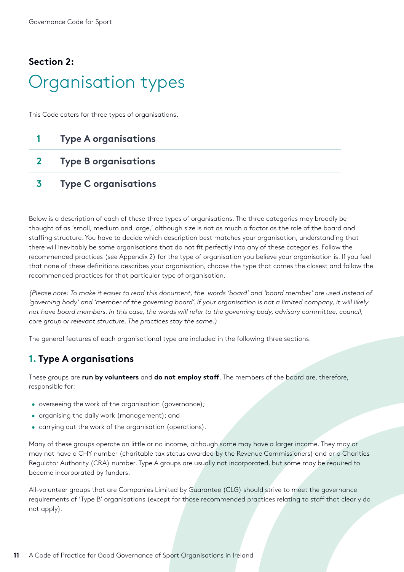## <span id="page-10-0"></span>**Section 2:** Organisation types

This Code caters for three types of organisations.

## **1 Type A organisations**

- **2 Type B organisations**
- **3 Type C organisations**

Below is a description of each of these three types of organisations. The three categories may broadly be thought of as 'small, medium and large,' although size is not as much a factor as the role of the board and staffing structure. You have to decide which description best matches your organisation, understanding that there will inevitably be some organisations that do not fit perfectly into any of these categories. Follow the recommended practices (see Appendix 2) for the type of organisation you believe your organisation is. If you feel that none of these definitions describes your organisation, choose the type that comes the closest and follow the recommended practices for that particular type of organisation.

*(Please note: To make it easier to read this document, the words 'board' and 'board member' are used instead of*  'governing body' and 'member of the governing board'. If your organisation is not a limited company, it will likely *not have board members. In this case, the words will refer to the governing body, advisory committee, council, core group or relevant structure. The practices stay the same.)*

The general features of each organisational type are included in the following three sections.

### **1. Type A organisations**

These groups are **run by volunteers** and **do not employ staff**. The members of the board are, therefore, responsible for:

- overseeing the work of the organisation (governance);
- organising the daily work (management); and
- carrying out the work of the organisation (operations).

Many of these groups operate on little or no income, although some may have a larger income. They may or may not have a CHY number (charitable tax status awarded by the Revenue Commissioners) and or a Charities Regulator Authority (CRA) number. Type A groups are usually not incorporated, but some may be required to become incorporated by funders.

All-volunteer groups that are Companies Limited by Guarantee (CLG) should strive to meet the governance requirements of 'Type B' organisations (except for those recommended practices relating to staff that clearly do not apply).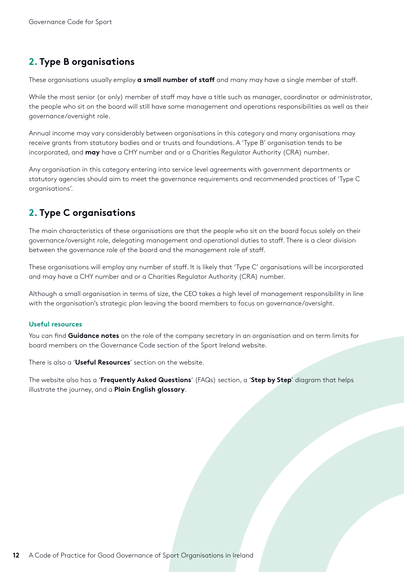## **2. Type B organisations**

These organisations usually employ **a small number of staff** and many may have a single member of staff.

While the most senior (or only) member of staff may have a title such as manager, coordinator or administrator, the people who sit on the board will still have some management and operations responsibilities as well as their governance/oversight role.

Annual income may vary considerably between organisations in this category and many organisations may receive grants from statutory bodies and or trusts and foundations. A 'Type B' organisation tends to be incorporated, and **may** have a CHY number and or a Charities Regulator Authority (CRA) number.

Any organisation in this category entering into service level agreements with government departments or statutory agencies should aim to meet the governance requirements and recommended practices of 'Type C organisations'.

### **2. Type C organisations**

The main characteristics of these organisations are that the people who sit on the board focus solely on their governance/oversight role, delegating management and operational duties to staff. There is a clear division between the governance role of the board and the management role of staff.

These organisations will employ any number of staff. It is likely that 'Type C' organisations will be incorporated and may have a CHY number and or a Charities Regulator Authority (CRA) number.

Although a small organisation in terms of size, the CEO takes a high level of management responsibility in line with the organisation's strategic plan leaving the board members to focus on governance/oversight.

#### **Useful resources**

You can find **Guidance notes** on the role of the company secretary in an organisation and on term limits for board members on the Governance Code section of the Sport Ireland website.

There is also a '**Useful Resources**' section on the website.

The website also has a '**Frequently Asked Questions**' (FAQs) section, a '**Step by Step**' diagram that helps illustrate the journey, and a **Plain English glossary**.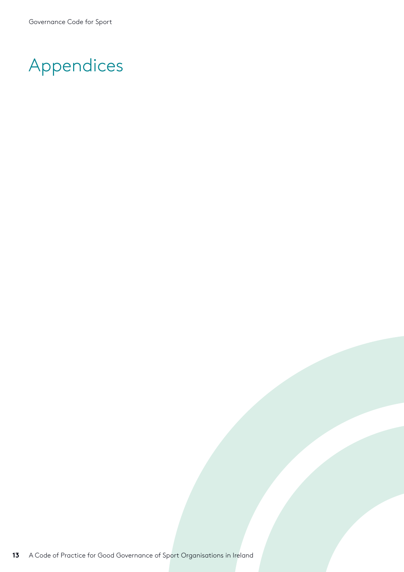# Appendices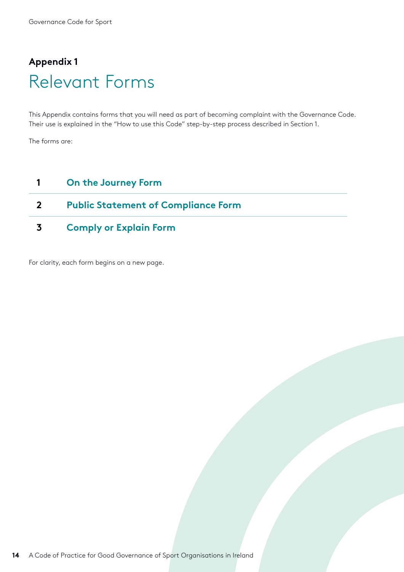## <span id="page-13-0"></span>**Appendix 1** Relevant Forms

This Appendix contains forms that you will need as part of becoming complaint with the Governance Code. Their use is explained in the "How to use this Code" step-by-step process described in Section 1.

The forms are:

### **1 On the Journey Form**

### **2 Public Statement of Compliance Form**

**3 Comply or Explain Form**

For clarity, each form begins on a new page.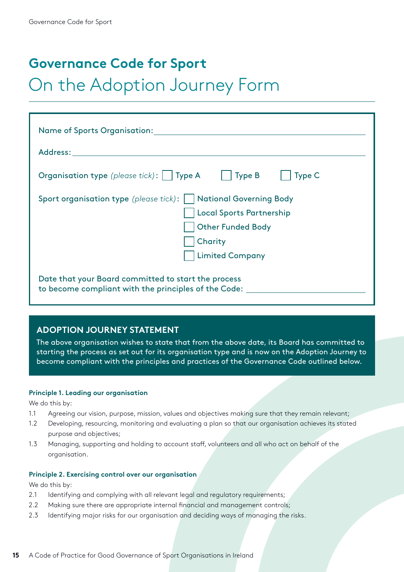## **Governance Code for Sport**

## On the Adoption Journey Form

| Name of Sports Organisation: Name of Sports Organisation:                                                   |
|-------------------------------------------------------------------------------------------------------------|
|                                                                                                             |
| <b>Organisation type</b> (please tick):     Type A     Type B<br>Type C                                     |
| Sport organisation type (please tick):     National Governing Body                                          |
| Local Sports Partnership                                                                                    |
| <b>Other Funded Body</b>                                                                                    |
| Charity                                                                                                     |
| <b>Limited Company</b>                                                                                      |
| Date that your Board committed to start the process<br>to become compliant with the principles of the Code: |

#### **ADOPTION JOURNEY STATEMENT**

The above organisation wishes to state that from the above date, its Board has committed to starting the process as set out for its organisation type and is now on the Adoption Journey to become compliant with the principles and practices of the Governance Code outlined below.

#### **Principle 1. Leading our organisation**

We do this by:

- 1.1 Agreeing our vision, purpose, mission, values and objectives making sure that they remain relevant;
- 1.2 Developing, resourcing, monitoring and evaluating a plan so that our organisation achieves its stated purpose and objectives;
- 1.3 Managing, supporting and holding to account staff, volunteers and all who act on behalf of the organisation.

#### **Principle 2. Exercising control over our organisation**

We do this by:

- 2.1 Identifying and complying with all relevant legal and regulatory requirements;
- 2.2 Making sure there are appropriate internal financial and management controls;
- 2.3 Identifying major risks for our organisation and deciding ways of managing the risks.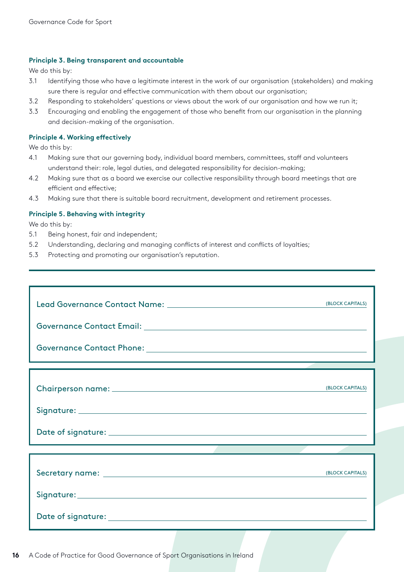#### **Principle 3. Being transparent and accountable**

We do this by:

- 3.1 Identifying those who have a legitimate interest in the work of our organisation (stakeholders) and making sure there is regular and effective communication with them about our organisation;
- 3.2 Responding to stakeholders' questions or views about the work of our organisation and how we run it;
- 3.3 Encouraging and enabling the engagement of those who benefit from our organisation in the planning and decision-making of the organisation.

#### **Principle 4. Working effectively**

We do this by:

- 4.1 Making sure that our governing body, individual board members, committees, staff and volunteers understand their: role, legal duties, and delegated responsibility for decision-making;
- 4.2 Making sure that as a board we exercise our collective responsibility through board meetings that are efficient and effective;
- 4.3 Making sure that there is suitable board recruitment, development and retirement processes.

#### **Principle 5. Behaving with integrity**

We do this by:

- 5.1 Being honest, fair and independent;
- 5.2 Understanding, declaring and managing conflicts of interest and conflicts of loyalties;
- 5.3 Protecting and promoting our organisation's reputation.

| (BLOCK CAPITALS) |
|------------------|
|                  |
|                  |
|                  |
| (BLOCK CAPITALS) |
|                  |
|                  |
|                  |
| (BLOCK CAPITALS) |
|                  |
|                  |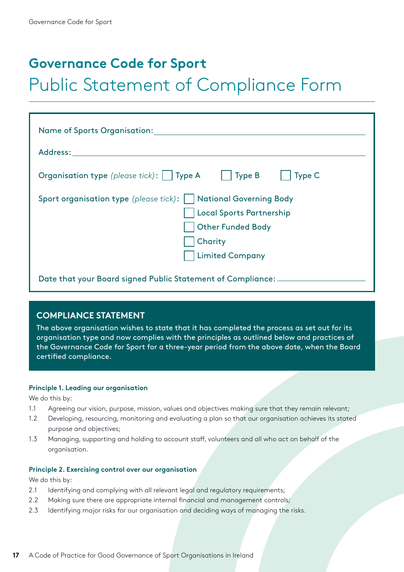## **Governance Code for Sport**

## Public Statement of Compliance Form

| Name of Sports Organisation:                                                                                                                                                                                                   |  |
|--------------------------------------------------------------------------------------------------------------------------------------------------------------------------------------------------------------------------------|--|
| Address: and the state of the state of the state of the state of the state of the state of the state of the state of the state of the state of the state of the state of the state of the state of the state of the state of t |  |
| <b>Organisation type</b> (please tick):     Type A     Type B<br>$\vert$ Type C                                                                                                                                                |  |
| Sport organisation type (please tick):     National Governing Body<br>Local Sports Partnership<br><b>Other Funded Body</b><br>Charity<br><b>Limited Company</b>                                                                |  |
| Date that your Board signed Public Statement of Compliance: _____                                                                                                                                                              |  |

#### **COMPLIANCE STATEMENT**

The above organisation wishes to state that it has completed the process as set out for its organisation type and now complies with the principles as outlined below and practices of the Governance Code for Sport for a three-year period from the above date, when the Board certified compliance.

#### **Principle 1. Leading our organisation**

We do this by:

- 1.1 Agreeing our vision, purpose, mission, values and objectives making sure that they remain relevant;
- 1.2 Developing, resourcing, monitoring and evaluating a plan so that our organisation achieves its stated purpose and objectives;
- 1.3 Managing, supporting and holding to account staff, volunteers and all who act on behalf of the organisation.

#### **Principle 2. Exercising control over our organisation**

We do this by:

- 2.1 Identifying and complying with all relevant legal and regulatory requirements;
- 2.2 Making sure there are appropriate internal financial and management controls;
- 2.3 Identifying major risks for our organisation and deciding ways of managing the risks.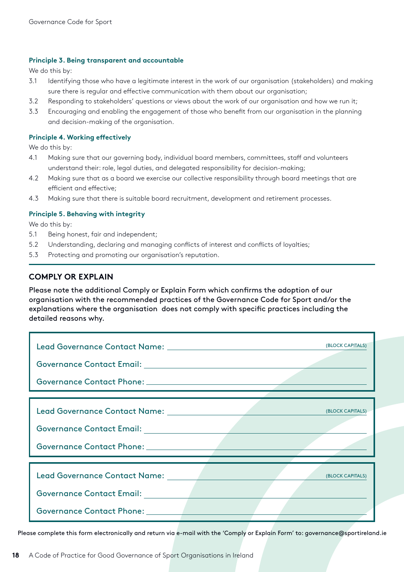#### **Principle 3. Being transparent and accountable**

We do this by:

- 3.1 Identifying those who have a legitimate interest in the work of our organisation (stakeholders) and making sure there is regular and effective communication with them about our organisation;
- 3.2 Responding to stakeholders' questions or views about the work of our organisation and how we run it;
- 3.3 Encouraging and enabling the engagement of those who benefit from our organisation in the planning and decision-making of the organisation.

#### **Principle 4. Working effectively**

We do this by:

- 4.1 Making sure that our governing body, individual board members, committees, staff and volunteers understand their: role, legal duties, and delegated responsibility for decision-making;
- 4.2 Making sure that as a board we exercise our collective responsibility through board meetings that are efficient and effective;
- 4.3 Making sure that there is suitable board recruitment, development and retirement processes.

#### **Principle 5. Behaving with integrity**

We do this by:

- 5.1 Being honest, fair and independent;
- 5.2 Understanding, declaring and managing conflicts of interest and conflicts of loyalties;
- 5.3 Protecting and promoting our organisation's reputation.

#### **COMPLY OR EXPLAIN**

Please note the additional Comply or Explain Form which confirms the adoption of our organisation with the recommended practices of the Governance Code for Sport and/or the explanations where the organisation does not comply with specific practices including the detailed reasons why.

|                                                                                                                                               | (BLOCK CAPITALS) |
|-----------------------------------------------------------------------------------------------------------------------------------------------|------------------|
| Lead Governance Contact Name: The Contract Order<br>Governance Contact Email: __________<br>Governance Contact Phone: New York Contact Phone: | (BLOCK CAPITALS) |
| Lead Governance Contact Name:<br><b>Governance Contact Email:</b><br>Governance Contact Phone: New York                                       | (BLOCK CAPITALS) |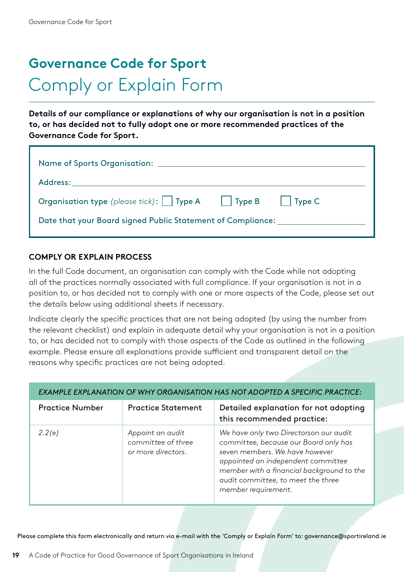# **Governance Code for Sport** Comply or Explain Form

**Details of our compliance or explanations of why our organisation is not in a position to, or has decided not to fully adopt one or more recommended practices of the Governance Code for Sport.**

| Name of Sports Organisation: ______                                      |  |  |
|--------------------------------------------------------------------------|--|--|
|                                                                          |  |  |
| <b>Organisation type</b> (please tick):     Type A     Type B     Type C |  |  |
| Date that your Board signed Public Statement of Compliance:              |  |  |

#### **COMPLY OR EXPLAIN PROCESS**

In the full Code document, an organisation can comply with the Code while not adopting all of the practices normally associated with full compliance. If your organisation is not in a position to, or has decided not to comply with one or more aspects of the Code, please set out the details below using additional sheets if necessary.

Indicate clearly the specific practices that are not being adopted (by using the number from the relevant checklist) and explain in adequate detail why your organisation is not in a position to, or has decided not to comply with those aspects of the Code as outlined in the following example. Please ensure all explanations provide sufficient and transparent detail on the reasons why specific practices are not being adopted.

| EXAMPLE EXPLANATION OF WHY ORGANISATION HAS NOT ADOPTED A SPECIFIC PRACTICE: |                                                              |                                                                                                                                                                                                                                                                   |  |
|------------------------------------------------------------------------------|--------------------------------------------------------------|-------------------------------------------------------------------------------------------------------------------------------------------------------------------------------------------------------------------------------------------------------------------|--|
| <b>Practice Number</b>                                                       | <b>Practice Statement</b>                                    | Detailed explanation for not adopting<br>this recommended practice:                                                                                                                                                                                               |  |
| 2.2(e)                                                                       | Appoint an audit<br>committee of three<br>or more directors. | We have only two Directorson our audit<br>committee, because our Board only has<br>seven members. We have however<br>appointed an independent committee<br>member with a financial background to the<br>audit committee, to meet the three<br>member requirement. |  |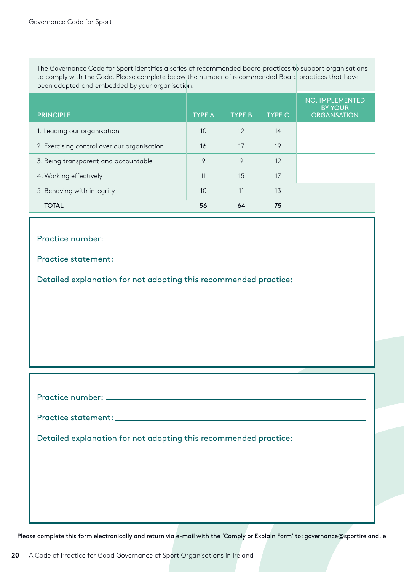The Governance Code for Sport identifies a series of recommended Board practices to support organisations to comply with the Code. Please complete below the number of recommended Board practices that have been adopted and embedded by your organisation.

| <b>PRINCIPLE</b>                            | <b>TYPE A</b> | <b>TYPE B</b> | <b>TYPE C</b> | NO. IMPLEMENTED<br><b>BY YOUR</b><br><b>ORGANSATION</b> |
|---------------------------------------------|---------------|---------------|---------------|---------------------------------------------------------|
| 1. Leading our organisation                 | 10            | 12            | 14            |                                                         |
| 2. Exercising control over our organisation | 16            | 17            | 19            |                                                         |
| 3. Being transparent and accountable        | 9             | 9             | 12            |                                                         |
| 4. Working effectively                      | 11            | 15            | 17            |                                                         |
| 5. Behaving with integrity                  | 10            | 11            | 13            |                                                         |
| <b>TOTAL</b>                                | 56            | 64            | 75            |                                                         |

Practice number:

Practice statement:

Detailed explanation for not adopting this recommended practice:

Practice number:

Practice statement: \_\_\_\_\_\_\_\_\_\_

Detailed explanation for not adopting this recommended practice: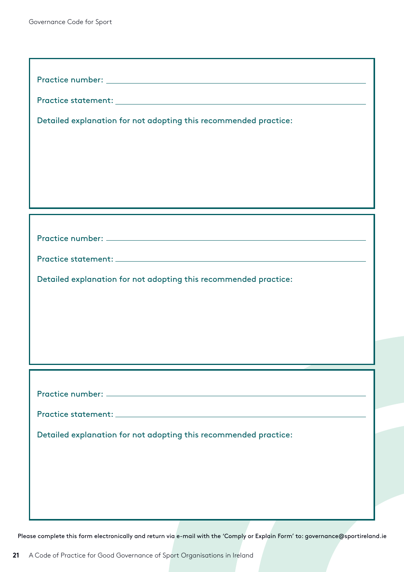| Detailed explanation for not adopting this recommended practice: |
|------------------------------------------------------------------|
|                                                                  |
|                                                                  |
|                                                                  |
|                                                                  |
|                                                                  |
|                                                                  |
|                                                                  |
| Detailed explanation for not adopting this recommended practice: |
|                                                                  |
|                                                                  |
|                                                                  |
|                                                                  |
|                                                                  |
|                                                                  |
|                                                                  |
| Detailed explanation for not adopting this recommended practice: |
|                                                                  |
|                                                                  |
|                                                                  |
|                                                                  |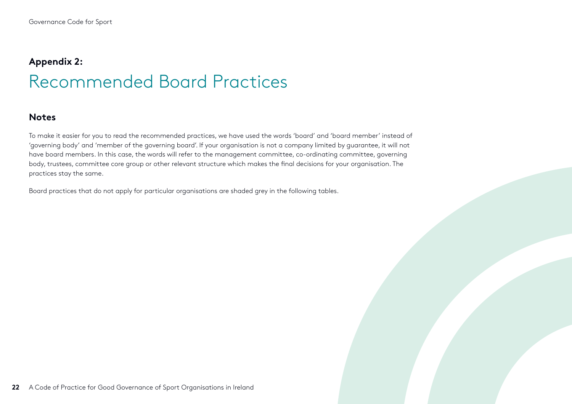## <span id="page-21-0"></span>**Appendix 2:** Recommended Board Practices

#### **Notes**

To make it easier for you to read the recommended practices, we have used the words 'board' and 'board member' instead of 'governing body' and 'member of the governing board'. If your organisation is not a company limited by guarantee, it will not have board members. In this case, the words will refer to the management committee, co-ordinating committee, governing body, trustees, committee core group or other relevant structure which makes the final decisions for your organisation. The practices stay the same.

Board practices that do not apply for particular organisations are shaded grey in the following tables.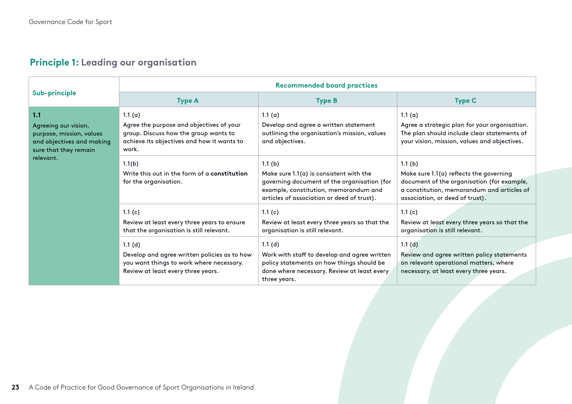## **Principle 1: Leading our organisation**

|                                                                                                               | <b>Recommended board practices</b>                                                                                                                                                                         |                                                                                                                                                                                                      |                                                                                                                                                                                                 |  |
|---------------------------------------------------------------------------------------------------------------|------------------------------------------------------------------------------------------------------------------------------------------------------------------------------------------------------------|------------------------------------------------------------------------------------------------------------------------------------------------------------------------------------------------------|-------------------------------------------------------------------------------------------------------------------------------------------------------------------------------------------------|--|
| Sub-principle                                                                                                 | <b>Type A</b>                                                                                                                                                                                              | <b>Type B</b>                                                                                                                                                                                        | <b>Type C</b>                                                                                                                                                                                   |  |
| 1.1<br>Agreeing our vision,<br>purpose, mission, values<br>and objectives and making<br>sure that they remain | 1.1 $(a)$<br>Agree the purpose and objectives of your<br>group. Discuss how the group wants to<br>achieve its objectives and how it wants to<br>work.                                                      | 1.1(a)<br>Develop and agree a written statement<br>outlining the organisation's mission, values<br>and objectives.                                                                                   | 1.1 $(a)$<br>Agree a strategic plan for your organisation.<br>The plan should include clear statements of<br>your vision, mission, values and objectives.                                       |  |
| relevant.                                                                                                     | 1.1(b)<br>Write this out in the form of a constitution<br>for the organisation.                                                                                                                            | 1.1(b)<br>Make sure $1.1(a)$ is consistent with the<br>governing document of the organisation (for<br>example, constitution, memorandum and<br>articles of association or deed of trust).            | 1.1(b)<br>Make sure 1.1(a) reflects the governing<br>document of the organisation (for example,<br>a constitution, memorandum and articles of<br>association, or deed of trust).                |  |
|                                                                                                               | 1.1 $(c)$<br>Review at least every three years to ensure<br>that the organisation is still relevant.<br>1.1(d)<br>Develop and agree written policies as to how<br>you want things to work where necessary. | 1.1 $(c)$<br>Review at least every three years so that the<br>organisation is still relevant.<br>1.1(d)<br>Work with staff to develop and agree written<br>policy statements on how things should be | 1.1 $(c)$<br>Review at least every three years so that the<br>organisation is still relevant.<br>1.1(d)<br>Review and agree written policy statements<br>on relevant operational matters, where |  |
|                                                                                                               | Review at least every three years.                                                                                                                                                                         | done where necessary. Review at least every<br>three years.                                                                                                                                          | necessary, at least every three years.                                                                                                                                                          |  |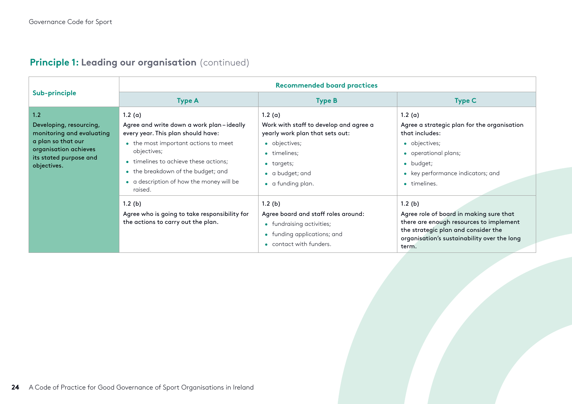|                                                                                                                                                     | <b>Recommended board practices</b>                                                                                                                                                                                                                                                    |                                                                                                                                                                            |                                                                                                                                                                                             |  |
|-----------------------------------------------------------------------------------------------------------------------------------------------------|---------------------------------------------------------------------------------------------------------------------------------------------------------------------------------------------------------------------------------------------------------------------------------------|----------------------------------------------------------------------------------------------------------------------------------------------------------------------------|---------------------------------------------------------------------------------------------------------------------------------------------------------------------------------------------|--|
| Sub-principle                                                                                                                                       | <b>Type A</b>                                                                                                                                                                                                                                                                         | <b>Type B</b>                                                                                                                                                              | <b>Type C</b>                                                                                                                                                                               |  |
| 1.2<br>Developing, resourcing,<br>monitoring and evaluating<br>a plan so that our<br>organisation achieves<br>its stated purpose and<br>objectives. | 1.2(a)<br>Agree and write down a work plan-ideally<br>every year. This plan should have:<br>• the most important actions to meet<br>objectives;<br>• timelines to achieve these actions;<br>• the breakdown of the budget; and<br>• a description of how the money will be<br>raised. | 1.2(a)<br>Work with staff to develop and agree a<br>yearly work plan that sets out:<br>• objectives;<br>• timelines;<br>• targets;<br>• a budget; and<br>• a funding plan. | 1.2 $(a)$<br>Agree a strategic plan for the organisation<br>that includes:<br>• objectives;<br>• operational plans;<br>• budget;<br>• key performance indicators; and<br>• timelines.       |  |
|                                                                                                                                                     | 1.2(b)<br>Agree who is going to take responsibility for<br>the actions to carry out the plan.                                                                                                                                                                                         | $1.2$ (b)<br>Agree board and staff roles around:<br>• fundraising activities;<br>• funding applications; and<br>• contact with funders.                                    | 1.2(b)<br>Agree role of board in making sure that<br>there are enough resources to implement<br>the strategic plan and consider the<br>organisation's sustainability over the long<br>term. |  |

## **Principle 1: Leading our organisation** (continued)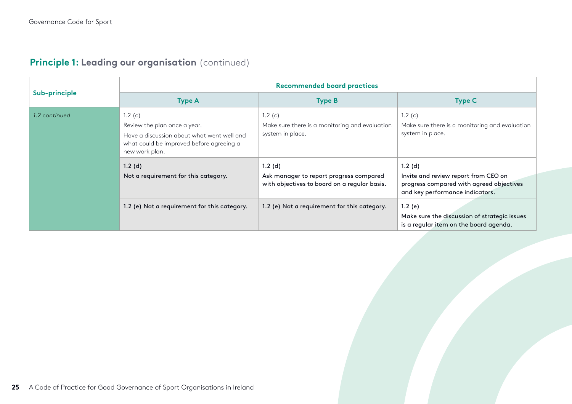|  |  | Principle 1: Leading our organisation (continued) |  |
|--|--|---------------------------------------------------|--|
|  |  |                                                   |  |

|               | <b>Recommended board practices</b>                                                                                                                    |                                                                                                   |                                                                                                                               |  |
|---------------|-------------------------------------------------------------------------------------------------------------------------------------------------------|---------------------------------------------------------------------------------------------------|-------------------------------------------------------------------------------------------------------------------------------|--|
| Sub-principle | <b>Type A</b>                                                                                                                                         | <b>Type B</b>                                                                                     | <b>Type C</b>                                                                                                                 |  |
| 1.2 continued | 1.2 $(c)$<br>Review the plan once a year.<br>Have a discussion about what went well and<br>what could be improved before agreeing a<br>new work plan. | 1.2 $(c)$<br>Make sure there is a monitoring and evaluation<br>system in place.                   | 1.2 $(c)$<br>Make sure there is a monitoring and evaluation<br>system in place.                                               |  |
|               | $1.2$ (d)<br>Not a requirement for this category.                                                                                                     | 1.2(d)<br>Ask manager to report progress compared<br>with objectives to board on a regular basis. | 1.2(d)<br>Invite and review report from CEO on<br>progress compared with agreed objectives<br>and key performance indicators. |  |
|               | 1.2 (e) Not a requirement for this category.                                                                                                          | 1.2 (e) Not a requirement for this category.                                                      | 1.2(e)<br>Make sure the discussion of strategic issues<br>is a regular item on the board agenda.                              |  |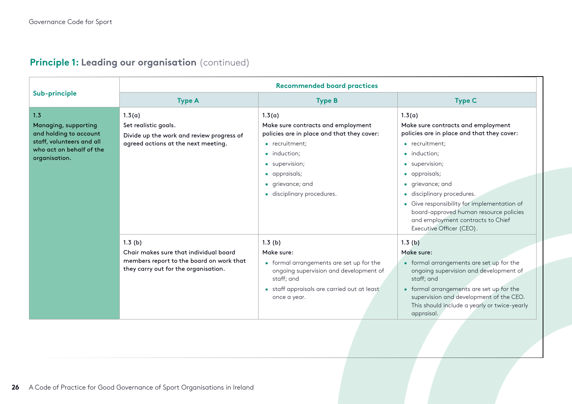|                                                                                                                                 | <b>Recommended board practices</b>                                                                                                   |                                                                                                                                                                                                                   |                                                                                                                                                                                                                                                                                                                                                                                        |  |
|---------------------------------------------------------------------------------------------------------------------------------|--------------------------------------------------------------------------------------------------------------------------------------|-------------------------------------------------------------------------------------------------------------------------------------------------------------------------------------------------------------------|----------------------------------------------------------------------------------------------------------------------------------------------------------------------------------------------------------------------------------------------------------------------------------------------------------------------------------------------------------------------------------------|--|
| Sub-principle                                                                                                                   | <b>Type A</b>                                                                                                                        | <b>Type B</b>                                                                                                                                                                                                     | <b>Type C</b>                                                                                                                                                                                                                                                                                                                                                                          |  |
| 1.3<br>Managing, supporting<br>and holding to account<br>staff, volunteers and all<br>who act on behalf of the<br>organisation. | 1.3(a)<br>Set realistic goals.<br>Divide up the work and review progress of<br>agreed actions at the next meeting.                   | 1.3(a)<br>Make sure contracts and employment<br>policies are in place and that they cover:<br>• recruitment;<br>• induction;<br>• supervision;<br>• appraisals;<br>• grievance; and<br>· disciplinary procedures. | 1.3(a)<br>Make sure contracts and employment<br>policies are in place and that they cover:<br>• recruitment:<br>• induction;<br>• supervision;<br>• appraisals;<br>• grievance; and<br>disciplinary procedures.<br>$\bullet$<br>• Give responsibility for implementation of<br>board-approved human resource policies<br>and employment contracts to Chief<br>Executive Officer (CEO). |  |
|                                                                                                                                 | 1.3(b)<br>Chair makes sure that individual board<br>members report to the board on work that<br>they carry out for the organisation. | 1.3(b)<br>Make sure:<br>• formal arrangements are set up for the<br>ongoing supervision and development of<br>staff; and<br>• staff appraisals are carried out at least<br>once a year.                           | 1.3(b)<br>Make sure:<br>• formal arrangements are set up for the<br>ongoing supervision and development of<br>staff; and<br>• formal arrangements are set up for the<br>supervision and development of the CEO.<br>This should include a yearly or twice-yearly<br>appraisal.                                                                                                          |  |

## **Principle 1: Leading our organisation** (continued)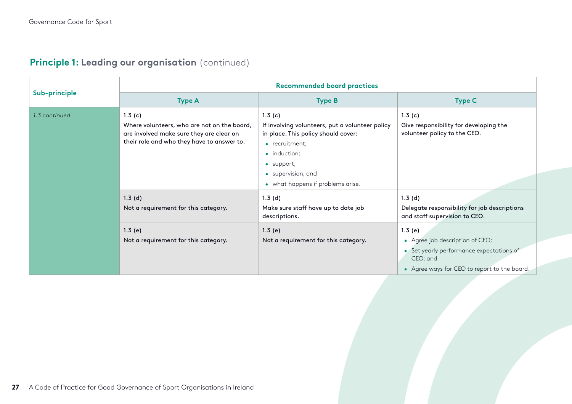|               | <b>Recommended board practices</b>                                                                                                              |                                                                                                                                                                                                             |                                                                                                                                                   |  |
|---------------|-------------------------------------------------------------------------------------------------------------------------------------------------|-------------------------------------------------------------------------------------------------------------------------------------------------------------------------------------------------------------|---------------------------------------------------------------------------------------------------------------------------------------------------|--|
| Sub-principle | <b>Type A</b>                                                                                                                                   | <b>Type B</b>                                                                                                                                                                                               | <b>Type C</b>                                                                                                                                     |  |
| 1.3 continued | 1.3(c)<br>Where volunteers, who are not on the board,<br>are involved make sure they are clear on<br>their role and who they have to answer to. | 1.3(c)<br>If involving volunteers, put a volunteer policy<br>in place. This policy should cover:<br>• recruitment;<br>• induction;<br>• support;<br>• supervision; and<br>• what happens if problems arise. | 1.3(c)<br>Give responsibility for developing the<br>volunteer policy to the CEO.                                                                  |  |
|               | 1.3(d)<br>Not a requirement for this category.                                                                                                  | 1.3(d)<br>Make sure staff have up to date job<br>descriptions.                                                                                                                                              | 1.3(d)<br>Delegate responsibility for job descriptions<br>and staff supervision to CEO.                                                           |  |
|               | 1.3(e)<br>Not a requirement for this category.                                                                                                  | 1.3(e)<br>Not a requirement for this category.                                                                                                                                                              | 1.3(e)<br>• Agree job description of CEO;<br>• Set yearly performance expectations of<br>CEO; and<br>• Agree ways for CEO to report to the board. |  |

## **Principle 1: Leading our organisation** (continued)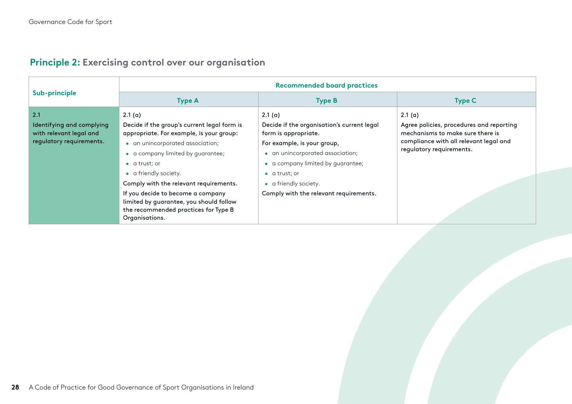|                                                                                         | <b>Recommended board practices</b>                                                                                                                                                                                                                                                                                                                                                                               |                                                                                                                                                                                                                                                                                  |                                                                                                                                                              |  |
|-----------------------------------------------------------------------------------------|------------------------------------------------------------------------------------------------------------------------------------------------------------------------------------------------------------------------------------------------------------------------------------------------------------------------------------------------------------------------------------------------------------------|----------------------------------------------------------------------------------------------------------------------------------------------------------------------------------------------------------------------------------------------------------------------------------|--------------------------------------------------------------------------------------------------------------------------------------------------------------|--|
| Sub-principle                                                                           | <b>Type A</b>                                                                                                                                                                                                                                                                                                                                                                                                    | <b>Type B</b>                                                                                                                                                                                                                                                                    | <b>Type C</b>                                                                                                                                                |  |
| 2.1<br>Identifying and complying<br>with relevant legal and<br>regulatory requirements. | 2.1(a)<br>Decide if the group's current legal form is<br>appropriate. For example, is your group:<br>• an unincorporated association;<br>• a company limited by guarantee;<br>$\bullet$ a trust; or<br>• a friendly society.<br>Comply with the relevant requirements.<br>If you decide to become a company<br>limited by guarantee, you should follow<br>the recommended practices for Type B<br>Organisations. | 2.1(a)<br>Decide if the organisation's current legal<br>form is appropriate.<br>For example, is your group,<br>• an unincorporated association;<br>• a company limited by guarantee;<br>$\bullet$ a trust; or<br>• a friendly society.<br>Comply with the relevant requirements. | 2.1(a)<br>Agree policies, procedures and reporting<br>mechanisms to make sure there is<br>compliance with all relevant legal and<br>regulatory requirements. |  |

## **Principle 2: Exercising control over our organisation**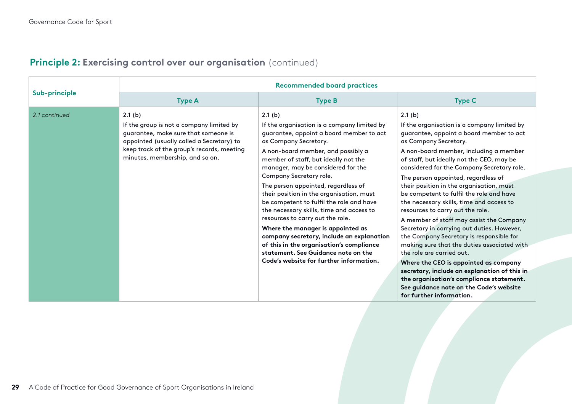|               | <b>Recommended board practices</b>                                                                                                                                                                                       |                                                                                                                                                                                                                                                                                                                                                                                                                                                                                                                                                                                                                                                                                                          |                                                                                                                                                                                                                                                                                                                                                                                                                                                                                                                                                                                                                                                                                                                                                                                                                                                                                                              |  |  |
|---------------|--------------------------------------------------------------------------------------------------------------------------------------------------------------------------------------------------------------------------|----------------------------------------------------------------------------------------------------------------------------------------------------------------------------------------------------------------------------------------------------------------------------------------------------------------------------------------------------------------------------------------------------------------------------------------------------------------------------------------------------------------------------------------------------------------------------------------------------------------------------------------------------------------------------------------------------------|--------------------------------------------------------------------------------------------------------------------------------------------------------------------------------------------------------------------------------------------------------------------------------------------------------------------------------------------------------------------------------------------------------------------------------------------------------------------------------------------------------------------------------------------------------------------------------------------------------------------------------------------------------------------------------------------------------------------------------------------------------------------------------------------------------------------------------------------------------------------------------------------------------------|--|--|
| Sub-principle | <b>Type A</b>                                                                                                                                                                                                            | <b>Type B</b>                                                                                                                                                                                                                                                                                                                                                                                                                                                                                                                                                                                                                                                                                            | <b>Type C</b>                                                                                                                                                                                                                                                                                                                                                                                                                                                                                                                                                                                                                                                                                                                                                                                                                                                                                                |  |  |
| 2.1 continued | 2.1(b)<br>If the group is not a company limited by<br>guarantee, make sure that someone is<br>appointed (usually called a Secretary) to<br>keep track of the group's records, meeting<br>minutes, membership, and so on. | 2.1(b)<br>If the organisation is a company limited by<br>guarantee, appoint a board member to act<br>as Company Secretary.<br>A non-board member, and possibly a<br>member of staff, but ideally not the<br>manager, may be considered for the<br>Company Secretary role.<br>The person appointed, regardless of<br>their position in the organisation, must<br>be competent to fulfil the role and have<br>the necessary skills, time and access to<br>resources to carry out the role.<br>Where the manager is appointed as<br>company secretary, include an explanation<br>of this in the organisation's compliance<br>statement. See Guidance note on the<br>Code's website for further information. | 2.1(b)<br>If the organisation is a company limited by<br>guarantee, appoint a board member to act<br>as Company Secretary.<br>A non-board member, including a member<br>of staff, but ideally not the CEO, may be<br>considered for the Company Secretary role.<br>The person appointed, regardless of<br>their position in the organisation, must<br>be competent to fulfil the role and have<br>the necessary skills, time and access to<br>resources to carry out the role.<br>A member of staff may assist the Company<br>Secretary in carrying out duties. However,<br>the Company Secretary is responsible for<br>making sure that the duties associated with<br>the role are carried out.<br>Where the CEO is appointed as company<br>secretary, include an explanation of this in<br>the organisation's compliance statement.<br>See guidance note on the Code's website<br>for further information. |  |  |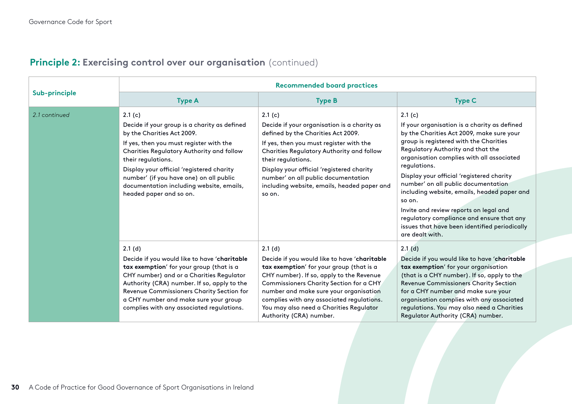|               | <b>Recommended board practices</b>                                                                                                                                                                                                                                                                                                                                |                                                                                                                                                                                                                                                                                                                                                        |                                                                                                                                                                                                                                                                                                                                                                                                                                                                                                                                                         |  |
|---------------|-------------------------------------------------------------------------------------------------------------------------------------------------------------------------------------------------------------------------------------------------------------------------------------------------------------------------------------------------------------------|--------------------------------------------------------------------------------------------------------------------------------------------------------------------------------------------------------------------------------------------------------------------------------------------------------------------------------------------------------|---------------------------------------------------------------------------------------------------------------------------------------------------------------------------------------------------------------------------------------------------------------------------------------------------------------------------------------------------------------------------------------------------------------------------------------------------------------------------------------------------------------------------------------------------------|--|
| Sub-principle | <b>Type A</b>                                                                                                                                                                                                                                                                                                                                                     | <b>Type B</b>                                                                                                                                                                                                                                                                                                                                          | <b>Type C</b>                                                                                                                                                                                                                                                                                                                                                                                                                                                                                                                                           |  |
| 2.1 continued | 2.1(c)<br>Decide if your group is a charity as defined<br>by the Charities Act 2009.<br>If yes, then you must register with the<br>Charities Regulatory Authority and follow<br>their regulations.<br>Display your official 'registered charity<br>number' (if you have one) on all public<br>documentation including website, emails,<br>headed paper and so on. | 2.1(c)<br>Decide if your organisation is a charity as<br>defined by the Charities Act 2009.<br>If yes, then you must register with the<br>Charities Regulatory Authority and follow<br>their regulations.<br>Display your official 'registered charity<br>number' on all public documentation<br>including website, emails, headed paper and<br>so on. | 2.1(c)<br>If your organisation is a charity as defined<br>by the Charities Act 2009, make sure your<br>group is registered with the Charities<br>Regulatory Authority and that the<br>organisation complies with all associated<br>regulations.<br>Display your official 'registered charity<br>number' on all public documentation<br>including website, emails, headed paper and<br>so on.<br>Invite and review reports on legal and<br>regulatory compliance and ensure that any<br>issues that have been identified periodically<br>are dealt with. |  |
|               | 2.1(d)<br>Decide if you would like to have 'charitable<br>tax exemption' for your group (that is a<br>CHY number) and or a Charities Regulator<br>Authority (CRA) number. If so, apply to the<br>Revenue Commissioners Charity Section for<br>a CHY number and make sure your group<br>complies with any associated regulations.                                  | 2.1(d)<br>Decide if you would like to have 'charitable<br>tax exemption' for your group (that is a<br>CHY number). If so, apply to the Revenue<br>Commissioners Charity Section for a CHY<br>number and make sure your organisation<br>complies with any associated regulations.<br>You may also need a Charities Regulator<br>Authority (CRA) number. | $2.1$ (d)<br>Decide if you would like to have 'charitable<br>tax exemption' for your organisation<br>(that is a CHY number). If so, apply to the<br>Revenue Commissioners Charity Section<br>for a CHY number and make sure your<br>organisation complies with any associated<br>regulations. You may also need a Charities<br>Regulator Authority (CRA) number.                                                                                                                                                                                        |  |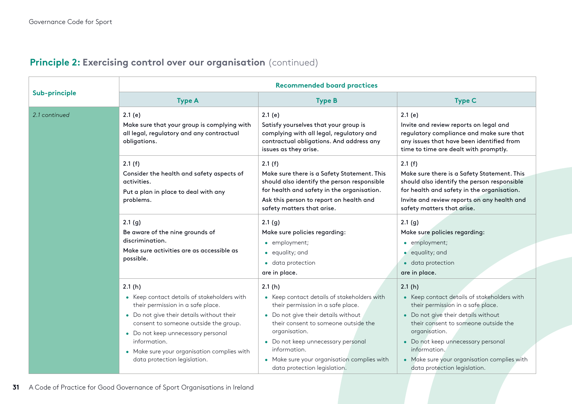| Principle 2: Exercising control over our organisation (continued) |  |  |  |
|-------------------------------------------------------------------|--|--|--|
|-------------------------------------------------------------------|--|--|--|

|               | <b>Recommended board practices</b>                                                                                                                                                                                                                                                                                    |                                                                                                                                                                                                                                                                                                                                 |                                                                                                                                                                                                                                                                                                                                 |  |
|---------------|-----------------------------------------------------------------------------------------------------------------------------------------------------------------------------------------------------------------------------------------------------------------------------------------------------------------------|---------------------------------------------------------------------------------------------------------------------------------------------------------------------------------------------------------------------------------------------------------------------------------------------------------------------------------|---------------------------------------------------------------------------------------------------------------------------------------------------------------------------------------------------------------------------------------------------------------------------------------------------------------------------------|--|
| Sub-principle | <b>Type A</b>                                                                                                                                                                                                                                                                                                         | <b>Type B</b>                                                                                                                                                                                                                                                                                                                   | <b>Type C</b>                                                                                                                                                                                                                                                                                                                   |  |
| 2.1 continued | 2.1(e)<br>Make sure that your group is complying with<br>all legal, regulatory and any contractual<br>obligations.                                                                                                                                                                                                    | 2.1(e)<br>Satisfy yourselves that your group is<br>complying with all legal, regulatory and<br>contractual obligations. And address any<br>issues as they arise.                                                                                                                                                                | 2.1(e)<br>Invite and review reports on legal and<br>regulatory compliance and make sure that<br>any issues that have been identified from<br>time to time are dealt with promptly.                                                                                                                                              |  |
|               | 2.1(f)<br>Consider the health and safety aspects of<br>activities.<br>Put a plan in place to deal with any<br>problems.                                                                                                                                                                                               | 2.1(f)<br>Make sure there is a Safety Statement. This<br>should also identify the person responsible<br>for health and safety in the organisation.<br>Ask this person to report on health and<br>safety matters that arise.                                                                                                     | 2.1(f)<br>Make sure there is a Safety Statement. This<br>should also identify the person responsible<br>for health and safety in the organisation.<br>Invite and review reports on any health and<br>safety matters that arise.                                                                                                 |  |
|               | 2.1(g)<br>Be aware of the nine grounds of<br>discrimination.<br>Make sure activities are as accessible as<br>possible.                                                                                                                                                                                                | 2.1(g)<br>Make sure policies regarding:<br>• employment;<br>• equality; and<br>· data protection<br>are in place.                                                                                                                                                                                                               | 2.1(g)<br>Make sure policies regarding:<br>• employment;<br>· equality; and<br>· data protection<br>are in place.                                                                                                                                                                                                               |  |
|               | 2.1(h)<br>• Keep contact details of stakeholders with<br>their permission in a safe place.<br>• Do not give their details without their<br>consent to someone outside the group.<br>• Do not keep unnecessary personal<br>information.<br>• Make sure your organisation complies with<br>data protection legislation. | 2.1(h)<br>• Keep contact details of stakeholders with<br>their permission in a safe place.<br>• Do not give their details without<br>their consent to someone outside the<br>organisation.<br>• Do not keep unnecessary personal<br>information.<br>• Make sure your organisation complies with<br>data protection legislation. | 2.1(h)<br>• Keep contact details of stakeholders with<br>their permission in a safe place.<br>• Do not give their details without<br>their consent to someone outside the<br>organisation.<br>• Do not keep unnecessary personal<br>information.<br>• Make sure your organisation complies with<br>data protection legislation. |  |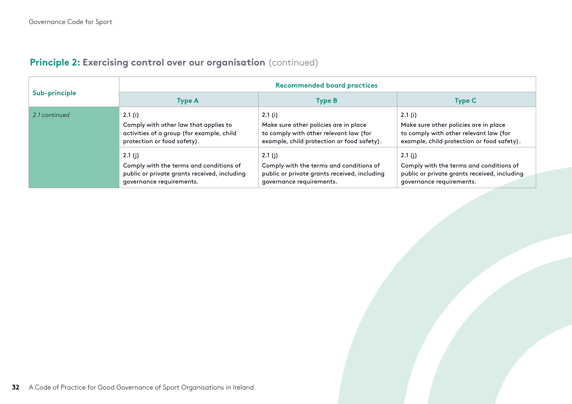| <b>Principle 2: Exercising control over our organisation</b> (continued) |  |  |  |
|--------------------------------------------------------------------------|--|--|--|
|--------------------------------------------------------------------------|--|--|--|

| Sub-principle | <b>Recommended board practices</b>           |                                              |                                              |  |
|---------------|----------------------------------------------|----------------------------------------------|----------------------------------------------|--|
|               | Type A                                       | <b>Type B</b>                                | <b>Type C</b>                                |  |
| 2.1 continued | 2.1(i)                                       | 2.1(i)                                       | 2.1(i)                                       |  |
|               | Comply with other law that applies to        | Make sure other policies are in place        | Make sure other policies are in place        |  |
|               | activities of a group (for example, child    | to comply with other relevant law (for       | to comply with other relevant law (for       |  |
|               | protection or food safety).                  | example, child protection or food safety).   | example, child protection or food safety).   |  |
|               | 2.1(j)                                       | 2.1(j)                                       | $2.1$ (i)                                    |  |
|               | Comply with the terms and conditions of      | Comply with the terms and conditions of      | Comply with the terms and conditions of      |  |
|               | public or private grants received, including | public or private grants received, including | public or private grants received, including |  |
|               | governance requirements.                     | governance requirements.                     | governance requirements.                     |  |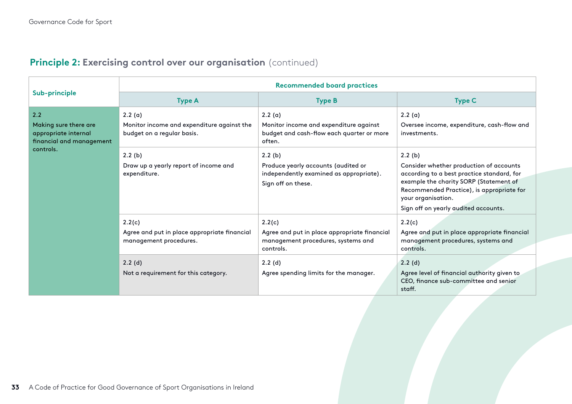| Sub-principle                                                                                 | <b>Recommended board practices</b>                                                                                                 |                                                                                                                                                               |                                                                                                                                                                                                                                                      |  |
|-----------------------------------------------------------------------------------------------|------------------------------------------------------------------------------------------------------------------------------------|---------------------------------------------------------------------------------------------------------------------------------------------------------------|------------------------------------------------------------------------------------------------------------------------------------------------------------------------------------------------------------------------------------------------------|--|
|                                                                                               | <b>Type A</b>                                                                                                                      | <b>Type B</b>                                                                                                                                                 | <b>Type C</b>                                                                                                                                                                                                                                        |  |
| 2.2<br>Making sure there are<br>appropriate internal<br>financial and management<br>controls. | 2.2(a)<br>Monitor income and expenditure against the<br>budget on a regular basis.                                                 | 2.2(a)<br>Monitor income and expenditure against<br>budget and cash-flow each quarter or more<br>often.                                                       | 2.2(a)<br>Oversee income, expenditure, cash-flow and<br>investments.                                                                                                                                                                                 |  |
|                                                                                               | 2.2(b)<br>Draw up a yearly report of income and<br>expenditure.                                                                    | 2.2(b)<br>Produce yearly accounts (audited or<br>independently examined as appropriate).<br>Sign off on these.                                                | 2.2(b)<br>Consider whether production of accounts<br>according to a best practice standard, for<br>example the charity SORP (Statement of<br>Recommended Practice), is appropriate for<br>your organisation.<br>Sign off on yearly audited accounts. |  |
|                                                                                               | 2.2(c)<br>Agree and put in place appropriate financial<br>management procedures.<br>2.2(d)<br>Not a requirement for this category. | 2.2(c)<br>Agree and put in place appropriate financial<br>management procedures, systems and<br>controls.<br>2.2(d)<br>Agree spending limits for the manager. | 2.2(c)<br>Agree and put in place appropriate financial<br>management procedures, systems and<br>controls.<br>2.2(d)<br>Agree level of financial authority given to<br>CEO, finance sub-committee and senior<br>staff.                                |  |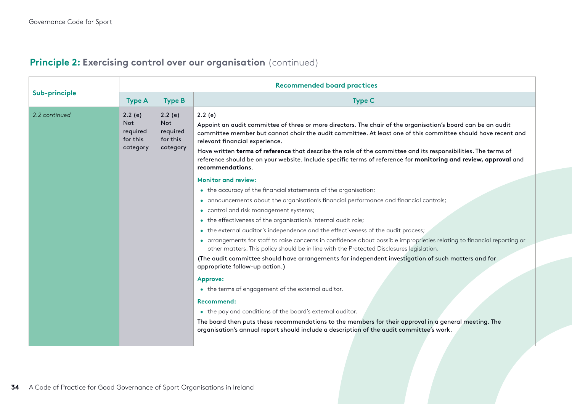| Sub-principle | <b>Recommended board practices</b>                       |                                                          |                                                                                                                                                                                                                                                                                                                                                                                                                                                                                                                                                                                                                                                                                                                                                                                                                                                                                                                                                                                                                                                                                                                           |  |
|---------------|----------------------------------------------------------|----------------------------------------------------------|---------------------------------------------------------------------------------------------------------------------------------------------------------------------------------------------------------------------------------------------------------------------------------------------------------------------------------------------------------------------------------------------------------------------------------------------------------------------------------------------------------------------------------------------------------------------------------------------------------------------------------------------------------------------------------------------------------------------------------------------------------------------------------------------------------------------------------------------------------------------------------------------------------------------------------------------------------------------------------------------------------------------------------------------------------------------------------------------------------------------------|--|
|               | <b>Type A</b>                                            | <b>Type B</b>                                            | <b>Type C</b>                                                                                                                                                                                                                                                                                                                                                                                                                                                                                                                                                                                                                                                                                                                                                                                                                                                                                                                                                                                                                                                                                                             |  |
| 2.2 continued | 2.2(e)<br><b>Not</b><br>required<br>for this<br>category | 2.2(e)<br><b>Not</b><br>required<br>for this<br>category | 2.2(e)<br>Appoint an audit committee of three or more directors. The chair of the organisation's board can be an audit<br>committee member but cannot chair the audit committee. At least one of this committee should have recent and<br>relevant financial experience.<br>Have written terms of reference that describe the role of the committee and its responsibilities. The terms of<br>reference should be on your website. Include specific terms of reference for monitoring and review, approval and<br>recommendations.                                                                                                                                                                                                                                                                                                                                                                                                                                                                                                                                                                                        |  |
|               |                                                          |                                                          | <b>Monitor and review:</b><br>• the accuracy of the financial statements of the organisation;<br>· announcements about the organisation's financial performance and financial controls;<br>• control and risk management systems;<br>• the effectiveness of the organisation's internal audit role;<br>• the external auditor's independence and the effectiveness of the audit process;<br>• arrangements for staff to raise concerns in confidence about possible improprieties relating to financial reporting or<br>other matters. This policy should be in line with the Protected Disclosures legislation.<br>(The audit committee should have arrangements for independent investigation of such matters and for<br>appropriate follow-up action.)<br><b>Approve:</b><br>• the terms of engagement of the external auditor.<br><b>Recommend:</b><br>• the pay and conditions of the board's external auditor.<br>The board then puts these recommendations to the members for their approval in a general meeting. The<br>organisation's annual report should include a description of the audit committee's work. |  |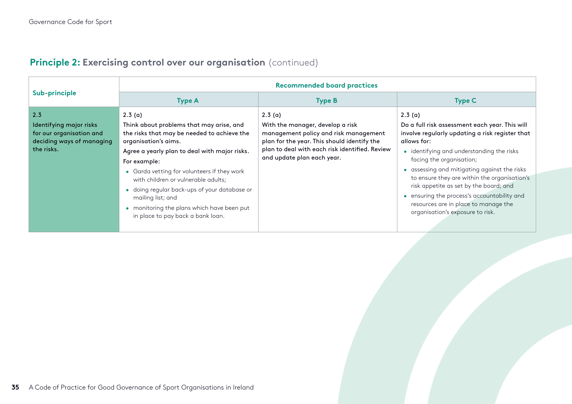| Sub-principle                                                                                         | <b>Recommended board practices</b>                                                                                                                                                                                                                                                                                                                                                                                                       |                                                                                                                                                                                                                    |                                                                                                                                                                                                                                                                                                                                                                                                                                                                        |  |
|-------------------------------------------------------------------------------------------------------|------------------------------------------------------------------------------------------------------------------------------------------------------------------------------------------------------------------------------------------------------------------------------------------------------------------------------------------------------------------------------------------------------------------------------------------|--------------------------------------------------------------------------------------------------------------------------------------------------------------------------------------------------------------------|------------------------------------------------------------------------------------------------------------------------------------------------------------------------------------------------------------------------------------------------------------------------------------------------------------------------------------------------------------------------------------------------------------------------------------------------------------------------|--|
|                                                                                                       | <b>Type A</b>                                                                                                                                                                                                                                                                                                                                                                                                                            | <b>Type B</b>                                                                                                                                                                                                      | <b>Type C</b>                                                                                                                                                                                                                                                                                                                                                                                                                                                          |  |
| 2.3<br>Identifying major risks<br>for our organisation and<br>deciding ways of managing<br>the risks. | 2.3(a)<br>Think about problems that may arise, and<br>the risks that may be needed to achieve the<br>organisation's aims.<br>Agree a yearly plan to deal with major risks.<br>For example:<br>• Garda vetting for volunteers if they work<br>with children or vulnerable adults;<br>· doing regular back-ups of your database or<br>mailing list; and<br>• monitoring the plans which have been put<br>in place to pay back a bank loan. | 2.3(a)<br>With the manager, develop a risk<br>management policy and risk management<br>plan for the year. This should identify the<br>plan to deal with each risk identified. Review<br>and update plan each year. | 2.3(a)<br>Do a full risk assessment each year. This will<br>involve regularly updating a risk register that<br>allows for:<br>• identifying and understanding the risks<br>facing the organisation;<br>• assessing and mitigating against the risks<br>to ensure they are within the organisation's<br>risk appetite as set by the board; and<br>ensuring the process's accountability and<br>resources are in place to manage the<br>organisation's exposure to risk. |  |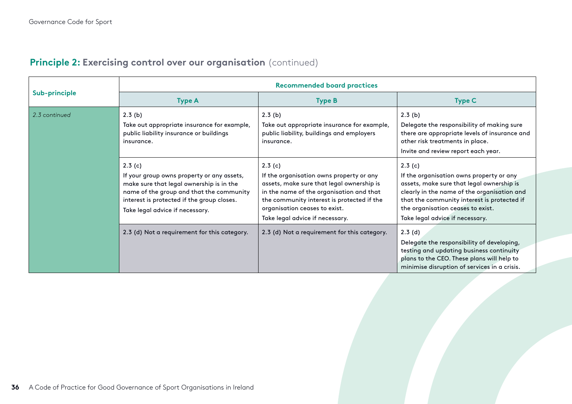|               | <b>Recommended board practices</b>                                                                                                                                                                                            |                                                                                                                                                                                                                                                               |                                                                                                                                                                                                                                                                       |  |
|---------------|-------------------------------------------------------------------------------------------------------------------------------------------------------------------------------------------------------------------------------|---------------------------------------------------------------------------------------------------------------------------------------------------------------------------------------------------------------------------------------------------------------|-----------------------------------------------------------------------------------------------------------------------------------------------------------------------------------------------------------------------------------------------------------------------|--|
| Sub-principle | <b>Type A</b>                                                                                                                                                                                                                 | <b>Type B</b>                                                                                                                                                                                                                                                 | <b>Type C</b>                                                                                                                                                                                                                                                         |  |
| 2.3 continued | 2.3(b)<br>Take out appropriate insurance for example,<br>public liability insurance or buildings<br>insurance.                                                                                                                | 2.3(b)<br>Take out appropriate insurance for example,<br>public liability, buildings and employers<br>insurance.                                                                                                                                              | 2.3(b)<br>Delegate the responsibility of making sure<br>there are appropriate levels of insurance and<br>other risk treatments in place.<br>Invite and review report each year.                                                                                       |  |
|               | 2.3(c)<br>If your group owns property or any assets,<br>make sure that legal ownership is in the<br>name of the group and that the community<br>interest is protected if the group closes.<br>Take legal advice if necessary. | 2.3(c)<br>If the organisation owns property or any<br>assets, make sure that legal ownership is<br>in the name of the organisation and that<br>the community interest is protected if the<br>organisation ceases to exist.<br>Take legal advice if necessary. | 2.3(c)<br>If the organisation owns property or any<br>assets, make sure that legal ownership is<br>clearly in the name of the organisation and<br>that the community interest is protected if<br>the organisation ceases to exist.<br>Take legal advice if necessary. |  |
|               | 2.3 (d) Not a requirement for this category.                                                                                                                                                                                  | 2.3 (d) Not a requirement for this category.                                                                                                                                                                                                                  | 2.3(d)<br>Delegate the responsibility of developing,<br>testing and updating business continuity<br>plans to the CEO. These plans will help to<br>minimise disruption of services in a crisis.                                                                        |  |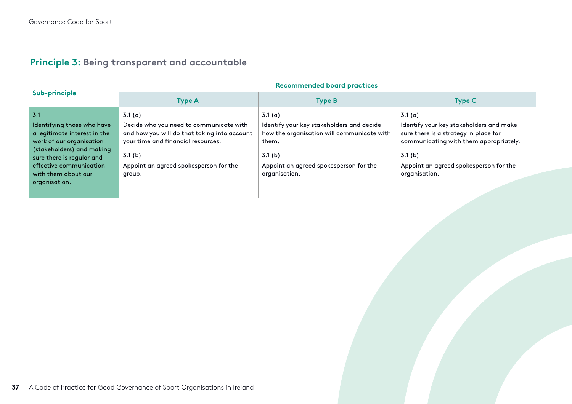## **Principle 3: Being transparent and accountable**

| Sub-principle                                                                          | <b>Recommended board practices</b>                                                                                            |                                                                                                  |                                                                                                                            |  |
|----------------------------------------------------------------------------------------|-------------------------------------------------------------------------------------------------------------------------------|--------------------------------------------------------------------------------------------------|----------------------------------------------------------------------------------------------------------------------------|--|
|                                                                                        | <b>Type A</b>                                                                                                                 | <b>Type B</b>                                                                                    | <b>Type C</b>                                                                                                              |  |
| 3.1                                                                                    | 3.1(a)                                                                                                                        | 3.1(a)                                                                                           | 3.1(a)                                                                                                                     |  |
| Identifying those who have<br>a legitimate interest in the<br>work of our organisation | Decide who you need to communicate with<br>and how you will do that taking into account<br>your time and financial resources. | Identify your key stakeholders and decide<br>how the organisation will communicate with<br>them. | Identify your key stakeholders and make<br>sure there is a strategy in place for<br>communicating with them appropriately. |  |
| (stakeholders) and making<br>sure there is regular and                                 | 3.1 <sub>(b)</sub>                                                                                                            | 3.1 <sub>(b)</sub>                                                                               | 3.1 <sub>(b)</sub>                                                                                                         |  |
| effective communication<br>with them about our<br>organisation.                        | Appoint an agreed spokesperson for the<br>group.                                                                              | Appoint an agreed spokesperson for the<br>organisation.                                          | Appoint an agreed spokesperson for the<br>organisation.                                                                    |  |
|                                                                                        |                                                                                                                               |                                                                                                  |                                                                                                                            |  |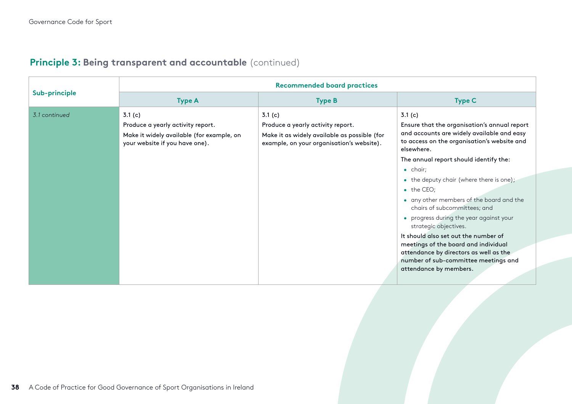| Sub-principle | <b>Recommended board practices</b>                                                                                         |                                                                                                                                          |                                                                                                                                                                                                                                                                                                                                                                                                                                                                                                                                                                                                                                       |  |  |
|---------------|----------------------------------------------------------------------------------------------------------------------------|------------------------------------------------------------------------------------------------------------------------------------------|---------------------------------------------------------------------------------------------------------------------------------------------------------------------------------------------------------------------------------------------------------------------------------------------------------------------------------------------------------------------------------------------------------------------------------------------------------------------------------------------------------------------------------------------------------------------------------------------------------------------------------------|--|--|
|               | <b>Type A</b>                                                                                                              | <b>Type B</b>                                                                                                                            | <b>Type C</b>                                                                                                                                                                                                                                                                                                                                                                                                                                                                                                                                                                                                                         |  |  |
| 3.1 continued | 3.1(c)<br>Produce a yearly activity report.<br>Make it widely available (for example, on<br>your website if you have one). | 3.1(c)<br>Produce a yearly activity report.<br>Make it as widely available as possible (for<br>example, on your organisation's website). | 3.1(c)<br>Ensure that the organisation's annual report<br>and accounts are widely available and easy<br>to access on the organisation's website and<br>elsewhere.<br>The annual report should identify the:<br>• chair;<br>• the deputy chair (where there is one);<br>$\bullet$ the CEO;<br>• any other members of the board and the<br>chairs of subcommittees; and<br>• progress during the year against your<br>strategic objectives.<br>It should also set out the number of<br>meetings of the board and individual<br>attendance by directors as well as the<br>number of sub-committee meetings and<br>attendance by members. |  |  |

## **Principle 3: Being transparent and accountable** (continued)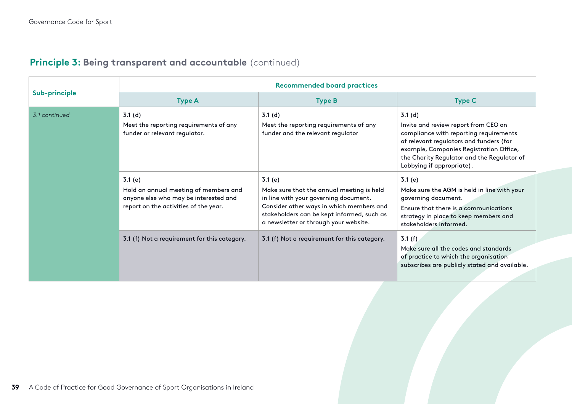| Sub-principle | <b>Recommended board practices</b>                                                                                                |                                                                                                                                                                                                                                 |                                                                                                                                                                                                                                                           |  |
|---------------|-----------------------------------------------------------------------------------------------------------------------------------|---------------------------------------------------------------------------------------------------------------------------------------------------------------------------------------------------------------------------------|-----------------------------------------------------------------------------------------------------------------------------------------------------------------------------------------------------------------------------------------------------------|--|
|               | <b>Type A</b>                                                                                                                     | <b>Type B</b>                                                                                                                                                                                                                   | <b>Type C</b>                                                                                                                                                                                                                                             |  |
| 3.1 continued | 3.1(d)<br>Meet the reporting requirements of any<br>funder or relevant regulator.                                                 | 3.1(d)<br>Meet the reporting requirements of any<br>funder and the relevant regulator                                                                                                                                           | 3.1(d)<br>Invite and review report from CEO on<br>compliance with reporting requirements<br>of relevant regulators and funders (for<br>example, Companies Registration Office,<br>the Charity Regulator and the Regulator of<br>Lobbying if appropriate). |  |
|               | 3.1(e)<br>Hold an annual meeting of members and<br>anyone else who may be interested and<br>report on the activities of the year. | 3.1(e)<br>Make sure that the annual meeting is held<br>in line with your governing document.<br>Consider other ways in which members and<br>stakeholders can be kept informed, such as<br>a newsletter or through your website. | 3.1(e)<br>Make sure the AGM is held in line with your<br>governing document.<br>Ensure that there is a communications<br>strategy in place to keep members and<br>stakeholders informed.                                                                  |  |
|               | 3.1 (f) Not a requirement for this category.                                                                                      | 3.1 (f) Not a requirement for this category.                                                                                                                                                                                    | 3.1(f)<br>Make sure all the codes and standards<br>of practice to which the organisation<br>subscribes are publicly stated and available.                                                                                                                 |  |

## **Principle 3: Being transparent and accountable** (continued)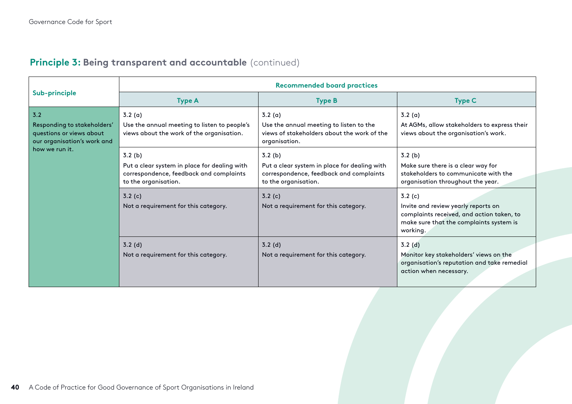| <b>Principle 3: Being transparent and accountable (continued)</b> |  |  |
|-------------------------------------------------------------------|--|--|
|                                                                   |  |  |

|                                                                                                                 | <b>Recommended board practices</b>                                                                                        |                                                                                                                           |                                                                                                                                                   |  |
|-----------------------------------------------------------------------------------------------------------------|---------------------------------------------------------------------------------------------------------------------------|---------------------------------------------------------------------------------------------------------------------------|---------------------------------------------------------------------------------------------------------------------------------------------------|--|
| Sub-principle                                                                                                   | <b>Type A</b>                                                                                                             | <b>Type B</b>                                                                                                             | <b>Type C</b>                                                                                                                                     |  |
| 3.2<br>Responding to stakeholders'<br>questions or views about<br>our organisation's work and<br>how we run it. | 3.2(a)<br>Use the annual meeting to listen to people's<br>views about the work of the organisation.                       | 3.2(a)<br>Use the annual meeting to listen to the<br>views of stakeholders about the work of the<br>organisation.         | 3.2(a)<br>At AGMs, allow stakeholders to express their<br>views about the organisation's work.                                                    |  |
|                                                                                                                 | 3.2(b)<br>Put a clear system in place for dealing with<br>correspondence, feedback and complaints<br>to the organisation. | 3.2(b)<br>Put a clear system in place for dealing with<br>correspondence, feedback and complaints<br>to the organisation. | 3.2(b)<br>Make sure there is a clear way for<br>stakeholders to communicate with the<br>organisation throughout the year.                         |  |
|                                                                                                                 | 3.2(c)<br>Not a requirement for this category.                                                                            | 3.2(c)<br>Not a requirement for this category.                                                                            | 3.2(c)<br>Invite and review yearly reports on<br>complaints received, and action taken, to<br>make sure that the complaints system is<br>working. |  |
|                                                                                                                 | $3.2$ (d)<br>Not a requirement for this category.                                                                         | $3.2$ (d)<br>Not a requirement for this category.                                                                         | 3.2(d)<br>Monitor key stakeholders' views on the<br>organisation's reputation and take remedial<br>action when necessary.                         |  |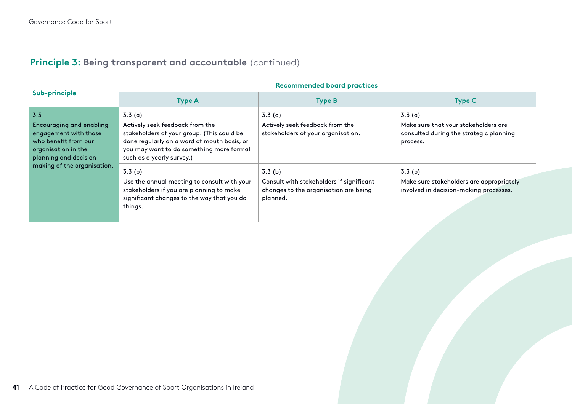## **Principle 3: Being transparent and accountable** (continued)

| Sub-principle                                                                                                                            | <b>Recommended board practices</b>                                                                                                                                                                              |                                                                                                         |                                                                                                       |  |
|------------------------------------------------------------------------------------------------------------------------------------------|-----------------------------------------------------------------------------------------------------------------------------------------------------------------------------------------------------------------|---------------------------------------------------------------------------------------------------------|-------------------------------------------------------------------------------------------------------|--|
|                                                                                                                                          | <b>Type A</b>                                                                                                                                                                                                   | <b>Type B</b>                                                                                           | <b>Type C</b>                                                                                         |  |
| 3.3<br><b>Encouraging and enabling</b><br>engagement with those<br>who benefit from our<br>organisation in the<br>planning and decision- | 3.3(a)<br>Actively seek feedback from the<br>stakeholders of your group. (This could be<br>done regularly on a word of mouth basis, or<br>you may want to do something more formal<br>such as a yearly survey.) | 3.3(a)<br>Actively seek feedback from the<br>stakeholders of your organisation.                         | 3.3(a)<br>Make sure that your stakeholders are<br>consulted during the strategic planning<br>process. |  |
| making of the organisation.                                                                                                              | 3.3(b)<br>Use the annual meeting to consult with your<br>stakeholders if you are planning to make<br>significant changes to the way that you do<br>things.                                                      | 3.3(b)<br>Consult with stakeholders if significant<br>changes to the organisation are being<br>planned. | 3.3(b)<br>Make sure stakeholders are appropriately<br>involved in decision-making processes.          |  |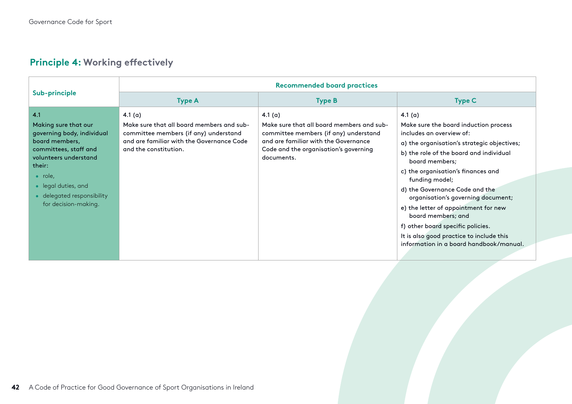| Sub-principle                                                                                                                                                                                                                           | <b>Recommended board practices</b>                                                                                                                                    |                                                                                                                                                                                                |                                                                                                                                                                                                                                                                                                                                                                                                                                                                                                                      |  |
|-----------------------------------------------------------------------------------------------------------------------------------------------------------------------------------------------------------------------------------------|-----------------------------------------------------------------------------------------------------------------------------------------------------------------------|------------------------------------------------------------------------------------------------------------------------------------------------------------------------------------------------|----------------------------------------------------------------------------------------------------------------------------------------------------------------------------------------------------------------------------------------------------------------------------------------------------------------------------------------------------------------------------------------------------------------------------------------------------------------------------------------------------------------------|--|
|                                                                                                                                                                                                                                         | <b>Type A</b>                                                                                                                                                         | <b>Type B</b>                                                                                                                                                                                  | <b>Type C</b>                                                                                                                                                                                                                                                                                                                                                                                                                                                                                                        |  |
| 4.1<br>Making sure that our<br>governing body, individual<br>board members,<br>committees, staff and<br>volunteers understand<br>their:<br>$\bullet$ role,<br>• legal duties, and<br>• delegated responsibility<br>for decision-making. | 4.1 $(a)$<br>Make sure that all board members and sub-<br>committee members (if any) understand<br>and are familiar with the Governance Code<br>and the constitution. | 4.1 $(a)$<br>Make sure that all board members and sub-<br>committee members (if any) understand<br>and are familiar with the Governance<br>Code and the organisation's governing<br>documents. | 4.1 $(a)$<br>Make sure the board induction process<br>includes an overview of:<br>a) the organisation's strategic objectives;<br>b) the role of the board and individual<br>board members;<br>c) the organisation's finances and<br>funding model;<br>d) the Governance Code and the<br>organisation's governing document;<br>e) the letter of appointment for new<br>board members; and<br>f) other board specific policies.<br>It is also good practice to include this<br>information in a board handbook/manual. |  |

## **Principle 4: Working effectively**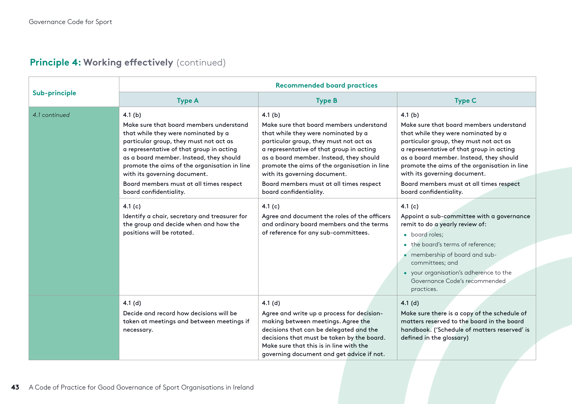| Sub-principle |                                                                                                                                                                                                                                                                                                                                                                                | <b>Recommended board practices</b>                                                                                                                                                                                                                                                                                                                                             |                                                                                                                                                                                                                                                                                                                                                                                |  |
|---------------|--------------------------------------------------------------------------------------------------------------------------------------------------------------------------------------------------------------------------------------------------------------------------------------------------------------------------------------------------------------------------------|--------------------------------------------------------------------------------------------------------------------------------------------------------------------------------------------------------------------------------------------------------------------------------------------------------------------------------------------------------------------------------|--------------------------------------------------------------------------------------------------------------------------------------------------------------------------------------------------------------------------------------------------------------------------------------------------------------------------------------------------------------------------------|--|
|               | <b>Type A</b>                                                                                                                                                                                                                                                                                                                                                                  | <b>Type B</b>                                                                                                                                                                                                                                                                                                                                                                  | <b>Type C</b>                                                                                                                                                                                                                                                                                                                                                                  |  |
| 4.1 continued | 4.1(b)<br>Make sure that board members understand<br>that while they were nominated by a<br>particular group, they must not act as<br>a representative of that group in acting<br>as a board member. Instead, they should<br>promote the aims of the organisation in line<br>with its governing document.<br>Board members must at all times respect<br>board confidentiality. | 4.1(b)<br>Make sure that board members understand<br>that while they were nominated by a<br>particular group, they must not act as<br>a representative of that group in acting<br>as a board member. Instead, they should<br>promote the aims of the organisation in line<br>with its governing document.<br>Board members must at all times respect<br>board confidentiality. | 4.1(b)<br>Make sure that board members understand<br>that while they were nominated by a<br>particular group, they must not act as<br>a representative of that group in acting<br>as a board member. Instead, they should<br>promote the aims of the organisation in line<br>with its governing document.<br>Board members must at all times respect<br>board confidentiality. |  |
|               | 4.1 $(c)$<br>Identify a chair, secretary and treasurer for<br>the group and decide when and how the<br>positions will be rotated.                                                                                                                                                                                                                                              | 4.1 $(c)$<br>Agree and document the roles of the officers<br>and ordinary board members and the terms<br>of reference for any sub-committees.                                                                                                                                                                                                                                  | 4.1 $(c)$<br>Appoint a sub-committee with a governance<br>remit to do a yearly review of:<br>• board roles;<br>• the board's terms of reference;<br>• membership of board and sub-<br>committees; and<br>• your organisation's adherence to the<br>Governance Code's recommended<br>practices.                                                                                 |  |
|               | 4.1(d)<br>Decide and record how decisions will be<br>taken at meetings and between meetings if<br>necessary.                                                                                                                                                                                                                                                                   | 4.1(d)<br>Agree and write up a process for decision-<br>making between meetings. Agree the<br>decisions that can be delegated and the<br>decisions that must be taken by the board.<br>Make sure that this is in line with the<br>governing document and get advice if not.                                                                                                    | 4.1(d)<br>Make sure there is a copy of the schedule of<br>matters reserved to the board in the board<br>handbook. ('Schedule of matters reserved' is<br>defined in the glossary)                                                                                                                                                                                               |  |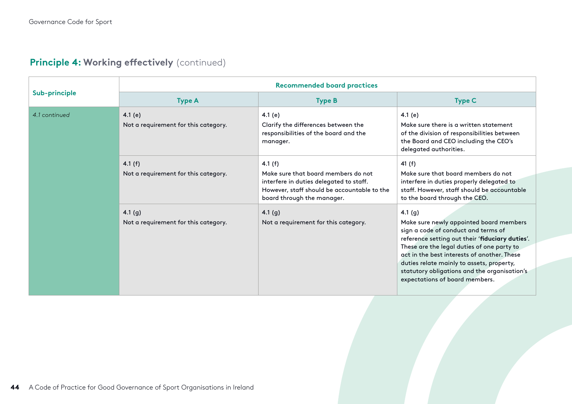| Sub-principle | <b>Recommended board practices</b>                |                                                                                                                                                                          |                                                                                                                                                                                                                                                                                                                                                                         |  |
|---------------|---------------------------------------------------|--------------------------------------------------------------------------------------------------------------------------------------------------------------------------|-------------------------------------------------------------------------------------------------------------------------------------------------------------------------------------------------------------------------------------------------------------------------------------------------------------------------------------------------------------------------|--|
|               | <b>Type A</b>                                     | <b>Type B</b>                                                                                                                                                            | <b>Type C</b>                                                                                                                                                                                                                                                                                                                                                           |  |
| 4.1 continued | 4.1 $(e)$<br>Not a requirement for this category. | 4.1 $(e)$<br>Clarify the differences between the<br>responsibilities of the board and the<br>manager.                                                                    | 4.1 $(e)$<br>Make sure there is a written statement<br>of the division of responsibilities between<br>the Board and CEO including the CEO's<br>delegated authorities.                                                                                                                                                                                                   |  |
|               | 4.1 $(f)$<br>Not a requirement for this category. | 4.1 $(f)$<br>Make sure that board members do not<br>interfere in duties delegated to staff.<br>However, staff should be accountable to the<br>board through the manager. | 41 (f)<br>Make sure that board members do not<br>interfere in duties properly delegated to<br>staff. However, staff should be accountable<br>to the board through the CEO.                                                                                                                                                                                              |  |
|               | 4.1 $(g)$<br>Not a requirement for this category. | 4.1 $(g)$<br>Not a requirement for this category.                                                                                                                        | 4.1(g)<br>Make sure newly appointed board members<br>sign a code of conduct and terms of<br>reference setting out their 'fiduciary duties'.<br>These are the legal duties of one party to<br>act in the best interests of another. These<br>duties relate mainly to assets, property,<br>statutory obligations and the organisation's<br>expectations of board members. |  |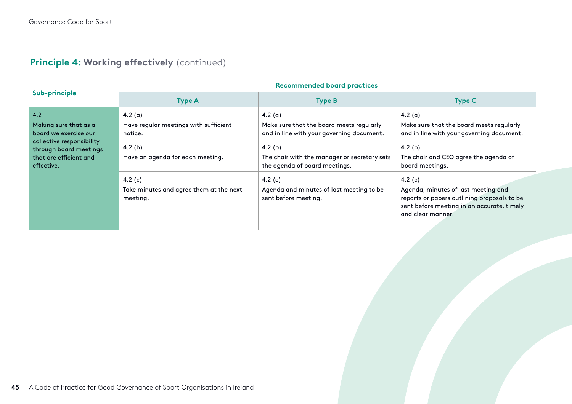| Sub-principle                                                                                                                                        | <b>Recommended board practices</b>                                                                                                                                                 |                                                                                                                                                                                                                                                                                   |                                                                                                                                                                                                                                                                                                                              |  |
|------------------------------------------------------------------------------------------------------------------------------------------------------|------------------------------------------------------------------------------------------------------------------------------------------------------------------------------------|-----------------------------------------------------------------------------------------------------------------------------------------------------------------------------------------------------------------------------------------------------------------------------------|------------------------------------------------------------------------------------------------------------------------------------------------------------------------------------------------------------------------------------------------------------------------------------------------------------------------------|--|
|                                                                                                                                                      | <b>Type A</b>                                                                                                                                                                      | <b>Type B</b>                                                                                                                                                                                                                                                                     | <b>Type C</b>                                                                                                                                                                                                                                                                                                                |  |
| 4.2<br>Making sure that as a<br>board we exercise our<br>collective responsibility<br>through board meetings<br>that are efficient and<br>effective. | 4.2 $(a)$<br>Have regular meetings with sufficient<br>notice.<br>4.2 $(b)$<br>Have an agenda for each meeting.<br>4.2 $(c)$<br>Take minutes and agree them at the next<br>meeting. | 4.2 $(a)$<br>Make sure that the board meets regularly<br>and in line with your governing document.<br>4.2 $(b)$<br>The chair with the manager or secretary sets<br>the agenda of board meetings.<br>4.2 $(c)$<br>Agenda and minutes of last meeting to be<br>sent before meeting. | 4.2 $(a)$<br>Make sure that the board meets regularly<br>and in line with your governing document.<br>$4.2$ (b)<br>The chair and CEO agree the agenda of<br>board meetings.<br>4.2 $(c)$<br>Agenda, minutes of last meeting and<br>reports or papers outlining proposals to be<br>sent before meeting in an accurate, timely |  |
|                                                                                                                                                      |                                                                                                                                                                                    |                                                                                                                                                                                                                                                                                   | and clear manner.                                                                                                                                                                                                                                                                                                            |  |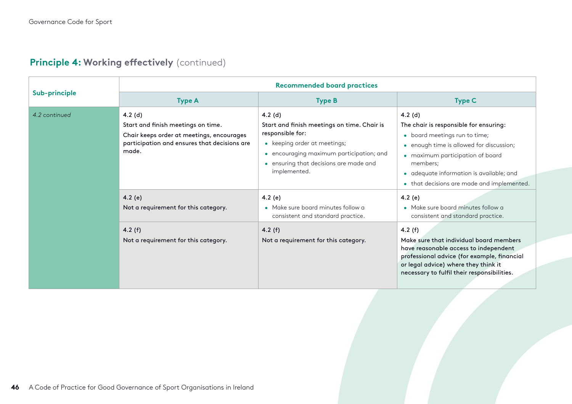| Sub-principle | <b>Recommended board practices</b>                                                                                                                    |                                                                                                                                                                                                                  |                                                                                                                                                                                                                                                                            |  |
|---------------|-------------------------------------------------------------------------------------------------------------------------------------------------------|------------------------------------------------------------------------------------------------------------------------------------------------------------------------------------------------------------------|----------------------------------------------------------------------------------------------------------------------------------------------------------------------------------------------------------------------------------------------------------------------------|--|
|               | <b>Type A</b>                                                                                                                                         | <b>Type B</b>                                                                                                                                                                                                    | <b>Type C</b>                                                                                                                                                                                                                                                              |  |
| 4.2 continued | $4.2$ (d)<br>Start and finish meetings on time.<br>Chair keeps order at meetings, encourages<br>participation and ensures that decisions are<br>made. | $4.2$ (d)<br>Start and finish meetings on time. Chair is<br>responsible for:<br>• keeping order at meetings;<br>• encouraging maximum participation; and<br>ensuring that decisions are made and<br>implemented. | $4.2$ (d)<br>The chair is responsible for ensuring:<br>• board meetings run to time;<br>• enough time is allowed for discussion;<br>• maximum participation of board<br>members;<br>· adequate information is available; and<br>• that decisions are made and implemented. |  |
|               | 4.2 $(e)$<br>Not a requirement for this category.                                                                                                     | 4.2 $(e)$<br>• Make sure board minutes follow a<br>consistent and standard practice.                                                                                                                             | 4.2 $(e)$<br>• Make sure board minutes follow a<br>consistent and standard practice.                                                                                                                                                                                       |  |
|               | 4.2 $(f)$<br>Not a requirement for this category.                                                                                                     | 4.2 $(f)$<br>Not a requirement for this category.                                                                                                                                                                | 4.2(f)<br>Make sure that individual board members<br>have reasonable access to independent<br>professional advice (for example, financial<br>or legal advice) where they think it<br>necessary to fulfil their responsibilities.                                           |  |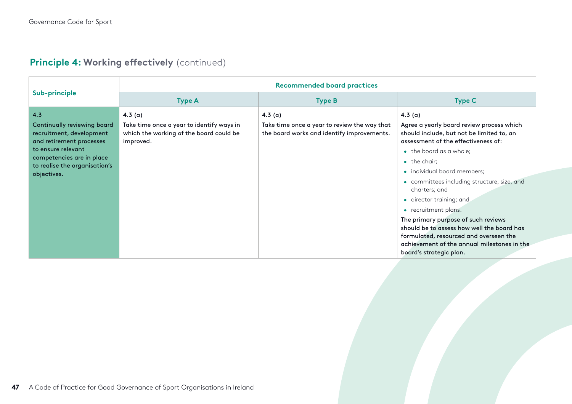|                                                            | <b>Recommended board practices</b>                     |                                                        |                                                                                                                                                                                                       |  |
|------------------------------------------------------------|--------------------------------------------------------|--------------------------------------------------------|-------------------------------------------------------------------------------------------------------------------------------------------------------------------------------------------------------|--|
| Sub-principle                                              | <b>Type A</b>                                          | <b>Type B</b>                                          | <b>Type C</b>                                                                                                                                                                                         |  |
| 4.3<br>Continually reviewing board                         | 4.3 $(a)$<br>Take time once a year to identify ways in | 4.3(a)<br>Take time once a year to review the way that | 4.3 $(a)$<br>Agree a yearly board review process which                                                                                                                                                |  |
| recruitment, development<br>and retirement processes       | which the working of the board could be<br>improved.   | the board works and identify improvements.             | should include, but not be limited to, an<br>assessment of the effectiveness of:                                                                                                                      |  |
| to ensure relevant                                         |                                                        |                                                        | $\bullet$ the board as a whole;                                                                                                                                                                       |  |
| competencies are in place<br>to realise the organisation's |                                                        |                                                        | $\bullet$ the chair;                                                                                                                                                                                  |  |
| objectives.                                                |                                                        |                                                        | • individual board members;                                                                                                                                                                           |  |
|                                                            |                                                        |                                                        | • committees including structure, size, and<br>charters; and                                                                                                                                          |  |
|                                                            |                                                        |                                                        | • director training; and                                                                                                                                                                              |  |
|                                                            |                                                        |                                                        | • recruitment plans.                                                                                                                                                                                  |  |
|                                                            |                                                        |                                                        | The primary purpose of such reviews<br>should be to assess how well the board has<br>formulated, resourced and overseen the<br>achievement of the annual milestones in the<br>board's strategic plan. |  |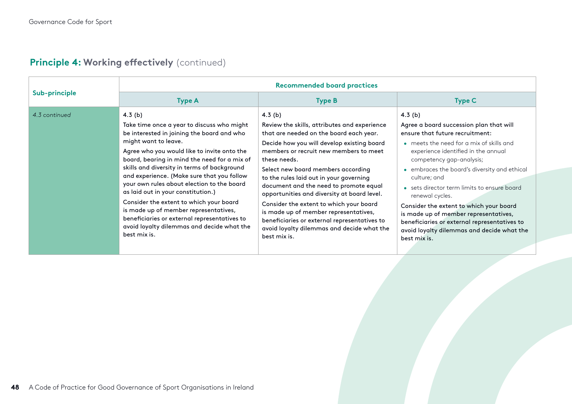| Sub-principle | <b>Recommended board practices</b>                                                                                                                                                                                                                                                                                                                                                                                                                                                                                                                                                                              |                                                                                                                                                                                                                                                                                                                                                                                                                                                                                                                                                                                          |                                                                                                                                                                                                                                                                                                                                                                                                                                                                                                                                            |
|---------------|-----------------------------------------------------------------------------------------------------------------------------------------------------------------------------------------------------------------------------------------------------------------------------------------------------------------------------------------------------------------------------------------------------------------------------------------------------------------------------------------------------------------------------------------------------------------------------------------------------------------|------------------------------------------------------------------------------------------------------------------------------------------------------------------------------------------------------------------------------------------------------------------------------------------------------------------------------------------------------------------------------------------------------------------------------------------------------------------------------------------------------------------------------------------------------------------------------------------|--------------------------------------------------------------------------------------------------------------------------------------------------------------------------------------------------------------------------------------------------------------------------------------------------------------------------------------------------------------------------------------------------------------------------------------------------------------------------------------------------------------------------------------------|
|               | <b>Type A</b>                                                                                                                                                                                                                                                                                                                                                                                                                                                                                                                                                                                                   | <b>Type B</b>                                                                                                                                                                                                                                                                                                                                                                                                                                                                                                                                                                            | <b>Type C</b>                                                                                                                                                                                                                                                                                                                                                                                                                                                                                                                              |
| 4.3 continued | 4.3 $(b)$<br>Take time once a year to discuss who might<br>be interested in joining the board and who<br>might want to leave.<br>Agree who you would like to invite onto the<br>board, bearing in mind the need for a mix of<br>skills and diversity in terms of background<br>and experience. (Make sure that you follow<br>your own rules about election to the board<br>as laid out in your constitution.)<br>Consider the extent to which your board<br>is made up of member representatives,<br>beneficiaries or external representatives to<br>avoid loyalty dilemmas and decide what the<br>best mix is. | $4.3$ (b)<br>Review the skills, attributes and experience<br>that are needed on the board each year.<br>Decide how you will develop existing board<br>members or recruit new members to meet<br>these needs.<br>Select new board members according<br>to the rules laid out in your governing<br>document and the need to promote equal<br>opportunities and diversity at board level.<br>Consider the extent to which your board<br>is made up of member representatives,<br>beneficiaries or external representatives to<br>avoid loyalty dilemmas and decide what the<br>best mix is. | $4.3$ (b)<br>Agree a board succession plan that will<br>ensure that future recruitment:<br>• meets the need for a mix of skills and<br>experience identified in the annual<br>competency gap-analysis;<br>• embraces the board's diversity and ethical<br>culture; and<br>• sets director term limits to ensure board<br>renewal cycles.<br>Consider the extent to which your board<br>is made up of member representatives,<br>beneficiaries or external representatives to<br>avoid loyalty dilemmas and decide what the<br>best mix is. |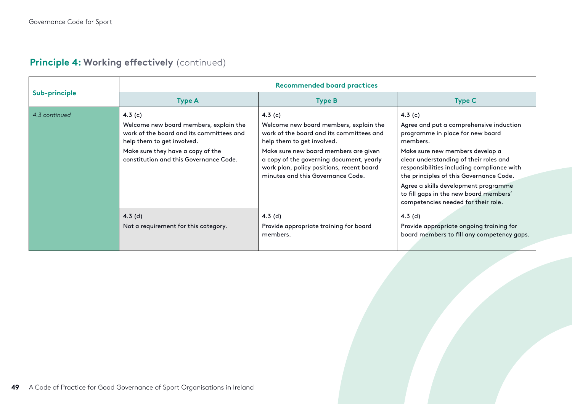| Sub-principle | <b>Recommended board practices</b>                                                                                                                                                                           |                                                                                                                                                                                                                                                                                                      |                                                                                                                                                                                                                                                                                                                                                                                                     |  |
|---------------|--------------------------------------------------------------------------------------------------------------------------------------------------------------------------------------------------------------|------------------------------------------------------------------------------------------------------------------------------------------------------------------------------------------------------------------------------------------------------------------------------------------------------|-----------------------------------------------------------------------------------------------------------------------------------------------------------------------------------------------------------------------------------------------------------------------------------------------------------------------------------------------------------------------------------------------------|--|
|               | <b>Type A</b>                                                                                                                                                                                                | <b>Type B</b>                                                                                                                                                                                                                                                                                        | <b>Type C</b>                                                                                                                                                                                                                                                                                                                                                                                       |  |
| 4.3 continued | 4.3 $(c)$<br>Welcome new board members, explain the<br>work of the board and its committees and<br>help them to get involved.<br>Make sure they have a copy of the<br>constitution and this Governance Code. | 4.3 $(c)$<br>Welcome new board members, explain the<br>work of the board and its committees and<br>help them to get involved.<br>Make sure new board members are given<br>a copy of the governing document, yearly<br>work plan, policy positions, recent board<br>minutes and this Governance Code. | 4.3 $(c)$<br>Agree and put a comprehensive induction<br>programme in place for new board<br>members.<br>Make sure new members develop a<br>clear understanding of their roles and<br>responsibilities including compliance with<br>the principles of this Governance Code.<br>Agree a skills development programme<br>to fill gaps in the new board members'<br>competencies needed for their role. |  |
|               | $4.3$ (d)<br>Not a requirement for this category.                                                                                                                                                            | 4.3 $(d)$<br>Provide appropriate training for board<br>members.                                                                                                                                                                                                                                      | 4.3 $(d)$<br>Provide appropriate ongoing training for<br>board members to fill any competency gaps.                                                                                                                                                                                                                                                                                                 |  |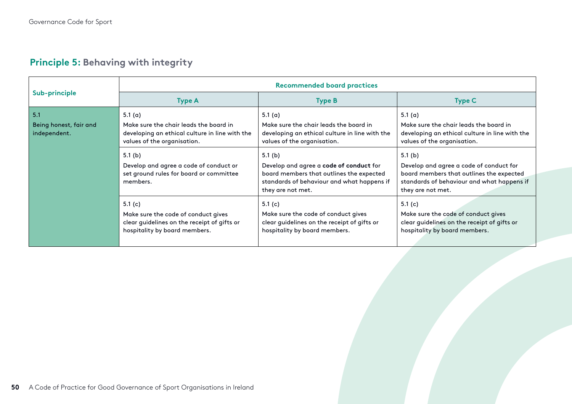|                                               | <b>Recommended board practices</b>                                                                                                   |                                                                                                                                                                     |                                                                                                                                                                     |  |
|-----------------------------------------------|--------------------------------------------------------------------------------------------------------------------------------------|---------------------------------------------------------------------------------------------------------------------------------------------------------------------|---------------------------------------------------------------------------------------------------------------------------------------------------------------------|--|
| Sub-principle                                 | <b>Type A</b>                                                                                                                        | <b>Type B</b>                                                                                                                                                       | <b>Type C</b>                                                                                                                                                       |  |
| 5.1<br>Being honest, fair and<br>independent. | 5.1 $(a)$<br>Make sure the chair leads the board in<br>developing an ethical culture in line with the<br>values of the organisation. | 5.1 $(a)$<br>Make sure the chair leads the board in<br>developing an ethical culture in line with the<br>values of the organisation.                                | 5.1 $(a)$<br>Make sure the chair leads the board in<br>developing an ethical culture in line with the<br>values of the organisation.                                |  |
|                                               | 5.1 $(b)$<br>Develop and agree a code of conduct or<br>set ground rules for board or committee<br>members.                           | 5.1 $(b)$<br>Develop and agree a code of conduct for<br>board members that outlines the expected<br>standards of behaviour and what happens if<br>they are not met. | 5.1 $(b)$<br>Develop and agree a code of conduct for<br>board members that outlines the expected<br>standards of behaviour and what happens if<br>they are not met. |  |
|                                               | 5.1 $(c)$<br>Make sure the code of conduct gives<br>clear guidelines on the receipt of gifts or<br>hospitality by board members.     | 5.1 $(c)$<br>Make sure the code of conduct gives<br>clear guidelines on the receipt of gifts or<br>hospitality by board members.                                    | 5.1 $(c)$<br>Make sure the code of conduct gives<br>clear guidelines on the receipt of gifts or<br>hospitality by board members.                                    |  |

## **Principle 5: Behaving with integrity**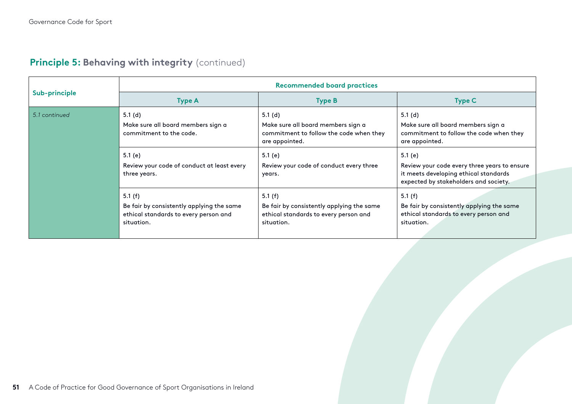|               | <b>Recommended board practices</b>                                                                            |                                                                                                               |                                                                                                                                           |
|---------------|---------------------------------------------------------------------------------------------------------------|---------------------------------------------------------------------------------------------------------------|-------------------------------------------------------------------------------------------------------------------------------------------|
| Sub-principle | <b>Type A</b>                                                                                                 | <b>Type B</b>                                                                                                 | <b>Type C</b>                                                                                                                             |
| 5.1 continued | 5.1 $(d)$<br>Make sure all board members sign a<br>commitment to the code.                                    | 5.1 $(d)$<br>Make sure all board members sign a<br>commitment to follow the code when they<br>are appointed.  | 5.1(d)<br>Make sure all board members sign a<br>commitment to follow the code when they<br>are appointed.                                 |
|               | 5.1 $(e)$<br>Review your code of conduct at least every<br>three years.                                       | 5.1 (e)<br>Review your code of conduct every three<br>years.                                                  | 5.1 (e)<br>Review your code every three years to ensure<br>it meets developing ethical standards<br>expected by stakeholders and society. |
|               | 5.1 $(f)$<br>Be fair by consistently applying the same<br>ethical standards to every person and<br>situation. | 5.1 $(f)$<br>Be fair by consistently applying the same<br>ethical standards to every person and<br>situation. | 5.1 $(f)$<br>Be fair by consistently applying the same<br>ethical standards to every person and<br>situation.                             |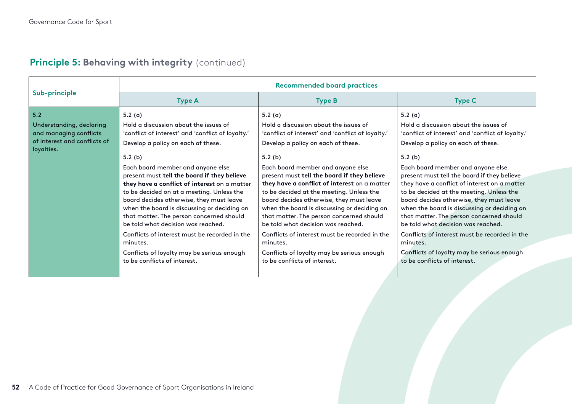|                                                                                                         | <b>Recommended board practices</b>                                                                                                                                                                                                                                                                                                                                                                                                                                                                              |                                                                                                                                                                                                                                                                                                                                                                                                                                                                                                                   |                                                                                                                                                                                                                                                                                                                                                                                                                                                                                                                |
|---------------------------------------------------------------------------------------------------------|-----------------------------------------------------------------------------------------------------------------------------------------------------------------------------------------------------------------------------------------------------------------------------------------------------------------------------------------------------------------------------------------------------------------------------------------------------------------------------------------------------------------|-------------------------------------------------------------------------------------------------------------------------------------------------------------------------------------------------------------------------------------------------------------------------------------------------------------------------------------------------------------------------------------------------------------------------------------------------------------------------------------------------------------------|----------------------------------------------------------------------------------------------------------------------------------------------------------------------------------------------------------------------------------------------------------------------------------------------------------------------------------------------------------------------------------------------------------------------------------------------------------------------------------------------------------------|
| Sub-principle                                                                                           | <b>Type A</b>                                                                                                                                                                                                                                                                                                                                                                                                                                                                                                   | <b>Type B</b>                                                                                                                                                                                                                                                                                                                                                                                                                                                                                                     | <b>Type C</b>                                                                                                                                                                                                                                                                                                                                                                                                                                                                                                  |
| 5.2<br>Understanding, declaring<br>and managing conflicts<br>of interest and conflicts of<br>loyalties. | 5.2 $(a)$<br>Hold a discussion about the issues of<br>'conflict of interest' and 'conflict of loyalty.'<br>Develop a policy on each of these.                                                                                                                                                                                                                                                                                                                                                                   | 5.2 $(a)$<br>Hold a discussion about the issues of<br>'conflict of interest' and 'conflict of loyalty.'<br>Develop a policy on each of these.                                                                                                                                                                                                                                                                                                                                                                     | 5.2 $(a)$<br>Hold a discussion about the issues of<br>'conflict of interest' and 'conflict of loyalty.'<br>Develop a policy on each of these.                                                                                                                                                                                                                                                                                                                                                                  |
|                                                                                                         | 5.2(b)<br>Each board member and anyone else<br>present must tell the board if they believe<br>they have a conflict of interest on a matter<br>to be decided on at a meeting. Unless the<br>board decides otherwise, they must leave<br>when the board is discussing or deciding on<br>that matter. The person concerned should<br>be told what decision was reached.<br>Conflicts of interest must be recorded in the<br>minutes.<br>Conflicts of loyalty may be serious enough<br>to be conflicts of interest. | 5.2 $(b)$<br>Each board member and anyone else<br>present must tell the board if they believe<br>they have a conflict of interest on a matter<br>to be decided at the meeting. Unless the<br>board decides otherwise, they must leave<br>when the board is discussing or deciding on<br>that matter. The person concerned should<br>be told what decision was reached.<br>Conflicts of interest must be recorded in the<br>minutes.<br>Conflicts of loyalty may be serious enough<br>to be conflicts of interest. | 5.2(b)<br>Each board member and anyone else<br>present must tell the board if they believe<br>they have a conflict of interest on a matter<br>to be decided at the meeting. Unless the<br>board decides otherwise, they must leave<br>when the board is discussing or deciding on<br>that matter. The person concerned should<br>be told what decision was reached.<br>Conflicts of interest must be recorded in the<br>minutes.<br>Conflicts of loyalty may be serious enough<br>to be conflicts of interest. |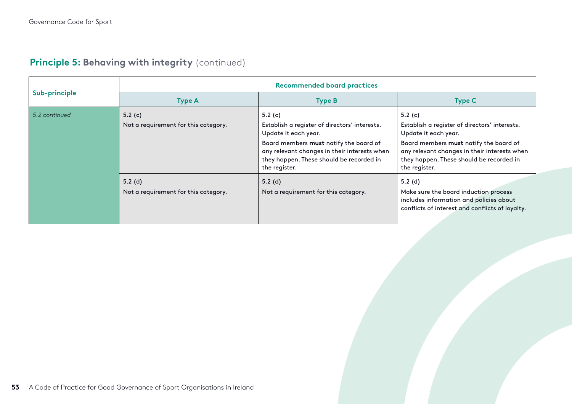|               | <b>Recommended board practices</b>                |                                                                                                                                                                                                                                           |                                                                                                                                                                                                                                           |  |
|---------------|---------------------------------------------------|-------------------------------------------------------------------------------------------------------------------------------------------------------------------------------------------------------------------------------------------|-------------------------------------------------------------------------------------------------------------------------------------------------------------------------------------------------------------------------------------------|--|
| Sub-principle | <b>Type A</b>                                     | <b>Type B</b>                                                                                                                                                                                                                             | <b>Type C</b>                                                                                                                                                                                                                             |  |
| 5.2 continued | 5.2 $(c)$<br>Not a requirement for this category. | 5.2 $(c)$<br>Establish a register of directors' interests.<br>Update it each year.<br>Board members must notify the board of<br>any relevant changes in their interests when<br>they happen. These should be recorded in<br>the register. | 5.2 $(c)$<br>Establish a register of directors' interests.<br>Update it each year.<br>Board members must notify the board of<br>any relevant changes in their interests when<br>they happen. These should be recorded in<br>the register. |  |
|               | $5.2$ (d)<br>Not a requirement for this category. | $5.2$ (d)<br>Not a requirement for this category.                                                                                                                                                                                         | 5.2 $(d)$<br>Make sure the board induction process<br>includes information and policies about<br>conflicts of interest and conflicts of loyalty.                                                                                          |  |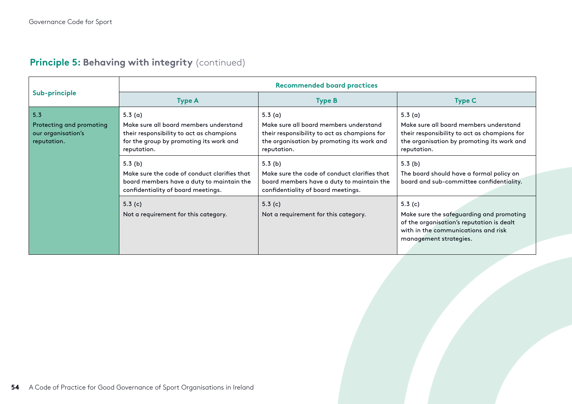|                                                               | <b>Recommended board practices</b>                                                                                                           |                                                                                                                                                     |                                                                                                                                                                     |  |
|---------------------------------------------------------------|----------------------------------------------------------------------------------------------------------------------------------------------|-----------------------------------------------------------------------------------------------------------------------------------------------------|---------------------------------------------------------------------------------------------------------------------------------------------------------------------|--|
| Sub-principle                                                 | <b>Type A</b>                                                                                                                                | <b>Type B</b>                                                                                                                                       | <b>Type C</b>                                                                                                                                                       |  |
| 5.3                                                           | 5.3 $(a)$                                                                                                                                    | 5.3 $(a)$                                                                                                                                           | 5.3 $(a)$                                                                                                                                                           |  |
| Protecting and promoting<br>our organisation's<br>reputation. | Make sure all board members understand<br>their responsibility to act as champions<br>for the group by promoting its work and<br>reputation. | Make sure all board members understand<br>their responsibility to act as champions for<br>the organisation by promoting its work and<br>reputation. | Make sure all board members understand<br>their responsibility to act as champions for<br>the organisation by promoting its work and<br>reputation.                 |  |
|                                                               | 5.3(b)<br>Make sure the code of conduct clarifies that<br>board members have a duty to maintain the<br>confidentiality of board meetings.    | 5.3(b)<br>Make sure the code of conduct clarifies that<br>board members have a duty to maintain the<br>confidentiality of board meetings.           | 5.3(b)<br>The board should have a formal policy on<br>board and sub-committee confidentiality.                                                                      |  |
|                                                               | 5.3 $(c)$<br>Not a requirement for this category.                                                                                            | 5.3 $(c)$<br>Not a requirement for this category.                                                                                                   | 5.3 $(c)$<br>Make sure the safeguarding and promoting<br>of the organisation's reputation is dealt<br>with in the communications and risk<br>management strategies. |  |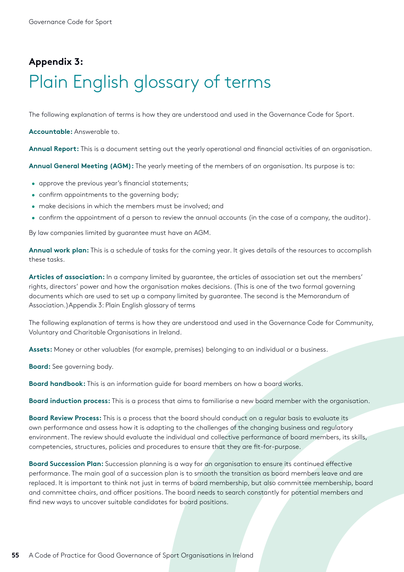## <span id="page-54-0"></span>**Appendix 3:** Plain English glossary of terms

The following explanation of terms is how they are understood and used in the Governance Code for Sport.

**Accountable:** Answerable to.

**Annual Report:** This is a document setting out the yearly operational and financial activities of an organisation.

**Annual General Meeting (AGM):** The yearly meeting of the members of an organisation. Its purpose is to:

- approve the previous year's financial statements;
- confirm appointments to the governing body;
- make decisions in which the members must be involved; and
- confirm the appointment of a person to review the annual accounts (in the case of a company, the auditor).

By law companies limited by guarantee must have an AGM.

**Annual work plan:** This is a schedule of tasks for the coming year. It gives details of the resources to accomplish these tasks.

**Articles of association:** In a company limited by guarantee, the articles of association set out the members' rights, directors' power and how the organisation makes decisions. (This is one of the two formal governing documents which are used to set up a company limited by guarantee. The second is the Memorandum of Association.)Appendix 3: Plain English glossary of terms

The following explanation of terms is how they are understood and used in the Governance Code for Community, Voluntary and Charitable Organisations in Ireland.

**Assets:** Money or other valuables (for example, premises) belonging to an individual or a business.

**Board:** See governing body.

**Board handbook:** This is an information guide for board members on how a board works.

**Board induction process:** This is a process that aims to familiarise a new board member with the organisation.

**Board Review Process:** This is a process that the board should conduct on a regular basis to evaluate its own performance and assess how it is adapting to the challenges of the changing business and regulatory environment. The review should evaluate the individual and collective performance of board members, its skills, competencies, structures, policies and procedures to ensure that they are fit-for-purpose.

**Board Succession Plan:** Succession planning is a way for an organisation to ensure its continued effective performance. The main goal of a succession plan is to smooth the transition as board members leave and are replaced. It is important to think not just in terms of board membership, but also committee membership, board and committee chairs, and officer positions. The board needs to search constantly for potential members and find new ways to uncover suitable candidates for board positions.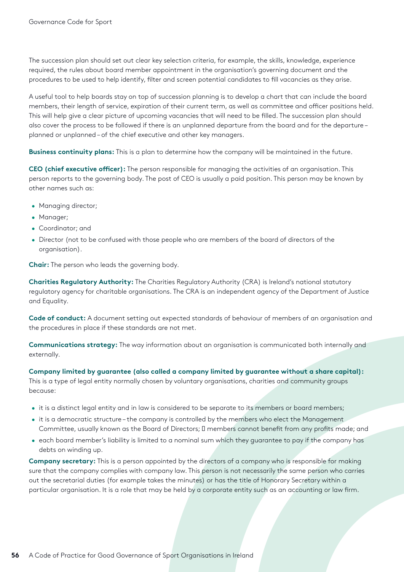The succession plan should set out clear key selection criteria, for example, the skills, knowledge, experience required, the rules about board member appointment in the organisation's governing document and the procedures to be used to help identify, filter and screen potential candidates to fill vacancies as they arise.

A useful tool to help boards stay on top of succession planning is to develop a chart that can include the board members, their length of service, expiration of their current term, as well as committee and officer positions held. This will help give a clear picture of upcoming vacancies that will need to be filled. The succession plan should also cover the process to be followed if there is an unplanned departure from the board and for the departure – planned or unplanned – of the chief executive and other key managers.

**Business continuity plans:** This is a plan to determine how the company will be maintained in the future.

**CEO (chief executive officer):** The person responsible for managing the activities of an organisation. This person reports to the governing body. The post of CEO is usually a paid position. This person may be known by other names such as:

- Managing director;
- Manager;
- Coordinator; and
- Director (not to be confused with those people who are members of the board of directors of the organisation).

**Chair:** The person who leads the governing body.

**Charities Regulatory Authority:** The Charities Regulatory Authority (CRA) is Ireland's national statutory regulatory agency for charitable organisations. The CRA is an independent agency of the Department of Justice and Equality.

**Code of conduct:** A document setting out expected standards of behaviour of members of an organisation and the procedures in place if these standards are not met.

**Communications strategy:** The way information about an organisation is communicated both internally and externally.

**Company limited by guarantee (also called a company limited by guarantee without a share capital):**  This is a type of legal entity normally chosen by voluntary organisations, charities and community groups because:

- it is a distinct legal entity and in law is considered to be separate to its members or board members;
- it is a democratic structure the company is controlled by the members who elect the Management Committee, usually known as the Board of Directors; members cannot benefit from any profits made; and
- each board member's liability is limited to a nominal sum which they guarantee to pay if the company has debts on winding up.

**Company secretary:** This is a person appointed by the directors of a company who is responsible for making sure that the company complies with company law. This person is not necessarily the same person who carries out the secretarial duties (for example takes the minutes) or has the title of Honorary Secretary within a particular organisation. It is a role that may be held by a corporate entity such as an accounting or law firm.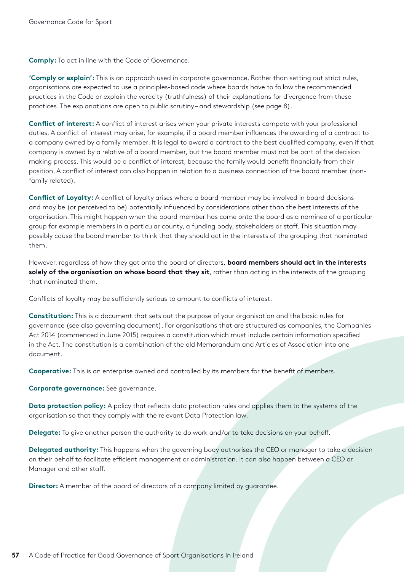**Comply:** To act in line with the Code of Governance.

**'Comply or explain':** This is an approach used in corporate governance. Rather than setting out strict rules, organisations are expected to use a principles-based code where boards have to follow the recommended practices in the Code or explain the veracity (truthfulness) of their explanations for divergence from these practices. The explanations are open to public scrutiny – and stewardship (see page 8).

**Conflict of interest:** A conflict of interest arises when your private interests compete with your professional duties. A conflict of interest may arise, for example, if a board member influences the awarding of a contract to a company owned by a family member. It is legal to award a contract to the best qualified company, even if that company is owned by a relative of a board member, but the board member must not be part of the decision making process. This would be a conflict of interest, because the family would benefit financially from their position. A conflict of interest can also happen in relation to a business connection of the board member (nonfamily related).

**Conflict of Loyalty:** A conflict of loyalty arises where a board member may be involved in board decisions and may be (or perceived to be) potentially influenced by considerations other than the best interests of the organisation. This might happen when the board member has come onto the board as a nominee of a particular group for example members in a particular county, a funding body, stakeholders or staff. This situation may possibly cause the board member to think that they should act in the interests of the grouping that nominated them.

However, regardless of how they got onto the board of directors, **board members should act in the interests solely of the organisation on whose board that they sit**, rather than acting in the interests of the grouping that nominated them.

Conflicts of loyalty may be sufficiently serious to amount to conflicts of interest.

**Constitution:** This is a document that sets out the purpose of your organisation and the basic rules for governance (see also governing document). For organisations that are structured as companies, the Companies Act 2014 (commenced in June 2015) requires a constitution which must include certain information specified in the Act. The constitution is a combination of the old Memorandum and Articles of Association into one document.

**Cooperative:** This is an enterprise owned and controlled by its members for the benefit of members.

**Corporate governance:** See governance.

**Data protection policy:** A policy that reflects data protection rules and applies them to the systems of the organisation so that they comply with the relevant Data Protection law.

**Delegate:** To give another person the authority to do work and/or to take decisions on your behalf.

**Delegated authority:** This happens when the governing body authorises the CEO or manager to take a decision on their behalf to facilitate efficient management or administration. It can also happen between a CEO or Manager and other staff.

**Director:** A member of the board of directors of a company limited by guarantee.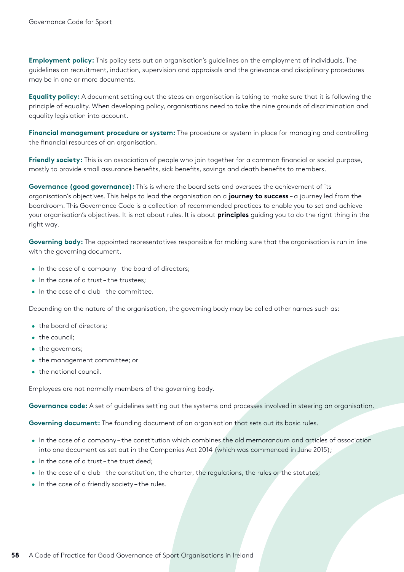**Employment policy:** This policy sets out an organisation's guidelines on the employment of individuals. The guidelines on recruitment, induction, supervision and appraisals and the grievance and disciplinary procedures may be in one or more documents.

**Equality policy:** A document setting out the steps an organisation is taking to make sure that it is following the principle of equality. When developing policy, organisations need to take the nine grounds of discrimination and equality legislation into account.

**Financial management procedure or system:** The procedure or system in place for managing and controlling the financial resources of an organisation.

**Friendly society:** This is an association of people who join together for a common financial or social purpose, mostly to provide small assurance benefits, sick benefits, savings and death benefits to members.

**Governance (good governance):** This is where the board sets and oversees the achievement of its organisation's objectives. This helps to lead the organisation on a **journey to success** – a journey led from the boardroom. This Governance Code is a collection of recommended practices to enable you to set and achieve your organisation's objectives. It is not about rules. It is about **principles** guiding you to do the right thing in the right way.

Governing body: The appointed representatives responsible for making sure that the organisation is run in line with the governing document.

- In the case of a company the board of directors;
- In the case of a trust-the trustees:
- In the case of a club the committee.

Depending on the nature of the organisation, the governing body may be called other names such as:

- the board of directors;
- the council;
- the governors;
- the management committee; or
- the national council.

Employees are not normally members of the governing body.

**Governance code:** A set of guidelines setting out the systems and processes involved in steering an organisation.

**Governing document:** The founding document of an organisation that sets out its basic rules.

- In the case of a company the constitution which combines the old memorandum and articles of association into one document as set out in the Companies Act 2014 (which was commenced in June 2015);
- In the case of a trust-the trust deed:
- In the case of a club the constitution, the charter, the regulations, the rules or the statutes;
- In the case of a friendly society the rules.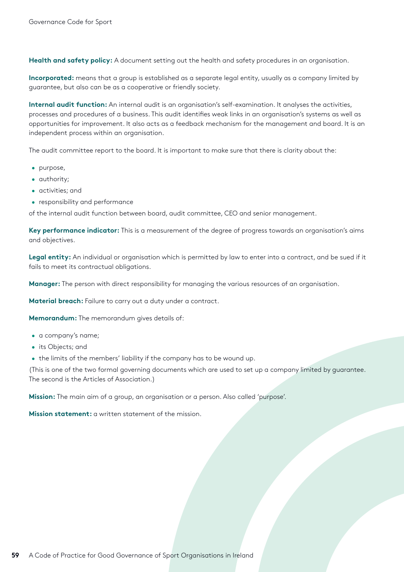**Health and safety policy:** A document setting out the health and safety procedures in an organisation.

**Incorporated:** means that a group is established as a separate legal entity, usually as a company limited by guarantee, but also can be as a cooperative or friendly society.

**Internal audit function:** An internal audit is an organisation's self-examination. It analyses the activities, processes and procedures of a business. This audit identifies weak links in an organisation's systems as well as opportunities for improvement. It also acts as a feedback mechanism for the management and board. It is an independent process within an organisation.

The audit committee report to the board. It is important to make sure that there is clarity about the:

- purpose,
- authority;
- activities; and
- responsibility and performance

of the internal audit function between board, audit committee, CEO and senior management.

**Key performance indicator:** This is a measurement of the degree of progress towards an organisation's aims and objectives.

**Legal entity:** An individual or organisation which is permitted by law to enter into a contract, and be sued if it fails to meet its contractual obligations.

**Manager:** The person with direct responsibility for managing the various resources of an organisation.

**Material breach:** Failure to carry out a duty under a contract.

**Memorandum:** The memorandum gives details of:

- a company's name;
- its Objects; and
- the limits of the members' liability if the company has to be wound up.

(This is one of the two formal governing documents which are used to set up a company limited by guarantee. The second is the Articles of Association.)

**Mission:** The main aim of a group, an organisation or a person. Also called 'purpose'.

**Mission statement:** a written statement of the mission.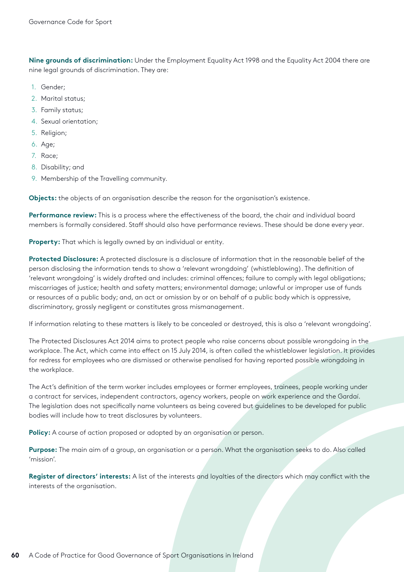**Nine grounds of discrimination:** Under the Employment Equality Act 1998 and the Equality Act 2004 there are nine legal grounds of discrimination. They are:

- 1. Gender;
- 2. Marital status;
- 3. Family status;
- 4. Sexual orientation;
- 5. Religion;
- 6. Age;
- 7. Race;
- 8. Disability; and
- 9. Membership of the Travelling community.

**Objects:** the objects of an organisation describe the reason for the organisation's existence.

**Performance review:** This is a process where the effectiveness of the board, the chair and individual board members is formally considered. Staff should also have performance reviews. These should be done every year.

**Property:** That which is legally owned by an individual or entity.

**Protected Disclosure:** A protected disclosure is a disclosure of information that in the reasonable belief of the person disclosing the information tends to show a 'relevant wrongdoing' (whistleblowing). The definition of 'relevant wrongdoing' is widely drafted and includes: criminal offences; failure to comply with legal obligations; miscarriages of justice; health and safety matters; environmental damage; unlawful or improper use of funds or resources of a public body; and, an act or omission by or on behalf of a public body which is oppressive, discriminatory, grossly negligent or constitutes gross mismanagement.

If information relating to these matters is likely to be concealed or destroyed, this is also a 'relevant wrongdoing'.

The Protected Disclosures Act 2014 aims to protect people who raise concerns about possible wrongdoing in the workplace. The Act, which came into effect on 15 July 2014, is often called the whistleblower legislation. It provides for redress for employees who are dismissed or otherwise penalised for having reported possible wrongdoing in the workplace.

The Act's definition of the term worker includes employees or former employees, trainees, people working under a contract for services, independent contractors, agency workers, people on work experience and the Gardaí. The legislation does not specifically name volunteers as being covered but guidelines to be developed for public bodies will include how to treat disclosures by volunteers.

**Policy:** A course of action proposed or adopted by an organisation or person.

**Purpose:** The main aim of a group, an organisation or a person. What the organisation seeks to do. Also called 'mission'.

**Register of directors' interests:** A list of the interests and loyalties of the directors which may conflict with the interests of the organisation.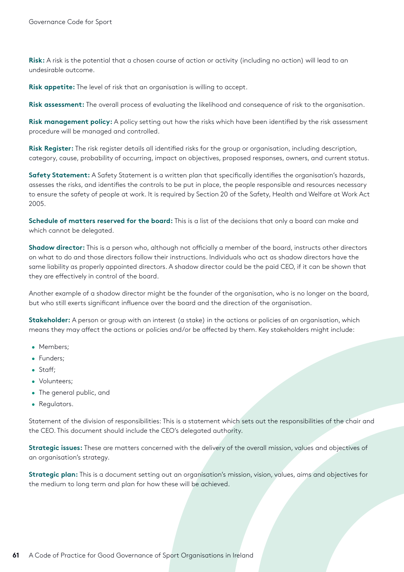**Risk:** A risk is the potential that a chosen course of action or activity (including no action) will lead to an undesirable outcome.

**Risk appetite:** The level of risk that an organisation is willing to accept.

**Risk assessment:** The overall process of evaluating the likelihood and consequence of risk to the organisation.

**Risk management policy:** A policy setting out how the risks which have been identified by the risk assessment procedure will be managed and controlled.

**Risk Register:** The risk register details all identified risks for the group or organisation, including description, category, cause, probability of occurring, impact on objectives, proposed responses, owners, and current status.

**Safety Statement:** A Safety Statement is a written plan that specifically identifies the organisation's hazards, assesses the risks, and identifies the controls to be put in place, the people responsible and resources necessary to ensure the safety of people at work. It is required by Section 20 of the Safety, Health and Welfare at Work Act 2005.

**Schedule of matters reserved for the board:** This is a list of the decisions that only a board can make and which cannot be delegated.

**Shadow director:** This is a person who, although not officially a member of the board, instructs other directors on what to do and those directors follow their instructions. Individuals who act as shadow directors have the same liability as properly appointed directors. A shadow director could be the paid CEO, if it can be shown that they are effectively in control of the board.

Another example of a shadow director might be the founder of the organisation, who is no longer on the board, but who still exerts significant influence over the board and the direction of the organisation.

**Stakeholder:** A person or group with an interest (a stake) in the actions or policies of an organisation, which means they may affect the actions or policies and/or be affected by them. Key stakeholders might include:

- Members:
- Funders;
- Staff;
- Volunteers;
- The general public, and
- Regulators.

Statement of the division of responsibilities: This is a statement which sets out the responsibilities of the chair and the CEO. This document should include the CEO's delegated authority.

**Strategic issues:** These are matters concerned with the delivery of the overall mission, values and objectives of an organisation's strategy.

**Strategic plan:** This is a document setting out an organisation's mission, vision, values, aims and objectives for the medium to long term and plan for how these will be achieved.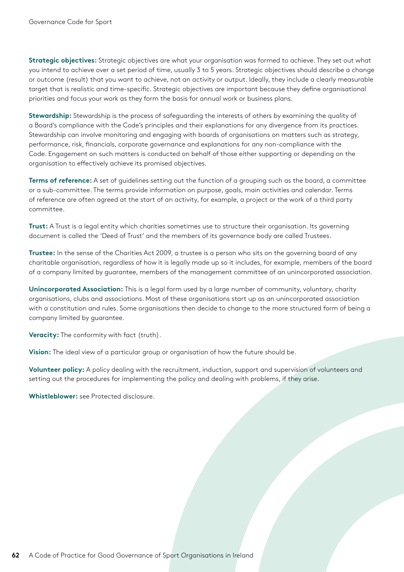**Strategic objectives:** Strategic objectives are what your organisation was formed to achieve. They set out what you intend to achieve over a set period of time, usually 3 to 5 years. Strategic objectives should describe a change or outcome (result) that you want to achieve, not an activity or output. Ideally, they include a clearly measurable target that is realistic and time-specific. Strategic objectives are important because they define organisational priorities and focus your work as they form the basis for annual work or business plans.

**Stewardship:** Stewardship is the process of safeguarding the interests of others by examining the quality of a Board's compliance with the Code's principles and their explanations for any divergence from its practices. Stewardship can involve monitoring and engaging with boards of organisations on matters such as strategy, performance, risk, financials, corporate governance and explanations for any non-compliance with the Code. Engagement on such matters is conducted on behalf of those either supporting or depending on the organisation to effectively achieve its promised objectives.

**Terms of reference:** A set of guidelines setting out the function of a grouping such as the board, a committee or a sub-committee. The terms provide information on purpose, goals, main activities and calendar. Terms of reference are often agreed at the start of an activity, for example, a project or the work of a third party committee.

**Trust:** A Trust is a legal entity which charities sometimes use to structure their organisation. Its governing document is called the 'Deed of Trust' and the members of its governance body are called Trustees.

**Trustee:** In the sense of the Charities Act 2009, a trustee is a person who sits on the governing board of any charitable organisation, regardless of how it is legally made up so it includes, for example, members of the board of a company limited by guarantee, members of the management committee of an unincorporated association.

**Unincorporated Association:** This is a legal form used by a large number of community, voluntary, charity organisations, clubs and associations. Most of these organisations start up as an unincorporated association with a constitution and rules. Some organisations then decide to change to the more structured form of being a company limited by guarantee.

**Veracity:** The conformity with fact (truth).

**Vision:** The ideal view of a particular group or organisation of how the future should be.

**Volunteer policy:** A policy dealing with the recruitment, induction, support and supervision of volunteers and setting out the procedures for implementing the policy and dealing with problems, if they arise.

**Whistleblower:** see Protected disclosure.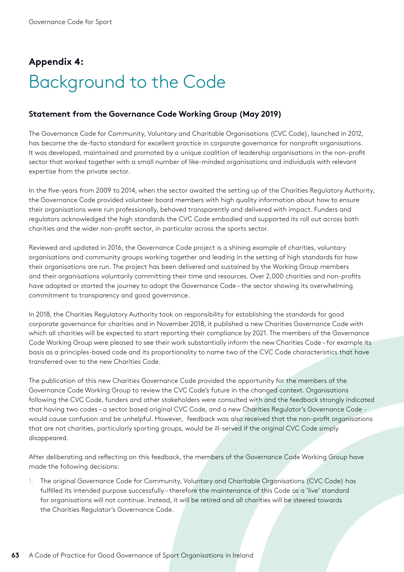## <span id="page-62-0"></span>**Appendix 4:** Background to the Code

#### **Statement from the Governance Code Working Group (May 2019)**

The Governance Code for Community, Voluntary and Charitable Organisations (CVC Code), launched in 2012, has become the de-facto standard for excellent practice in corporate governance for nonprofit organisations. It was developed, maintained and promoted by a unique coalition of leadership organisations in the non-profit sector that worked together with a small number of like-minded organisations and individuals with relevant expertise from the private sector.

In the five-years from 2009 to 2014, when the sector awaited the setting up of the Charities Regulatory Authority, the Governance Code provided volunteer board members with high quality information about how to ensure their organisations were run professionally, behaved transparently and delivered with impact. Funders and regulators acknowledged the high standards the CVC Code embodied and supported its roll out across both charities and the wider non-profit sector, in particular across the sports sector.

Reviewed and updated in 2016, the Governance Code project is a shining example of charities, voluntary organisations and community groups working together and leading in the setting of high standards for how their organisations are run. The project has been delivered and sustained by the Working Group members and their organisations voluntarily committing their time and resources. Over 2,000 charities and non-profits have adopted or started the journey to adopt the Governance Code – the sector showing its overwhelming commitment to transparency and good governance.

In 2018, the Charities Regulatory Authority took on responsibility for establishing the standards for good corporate governance for charities and in November 2018, it published a new Charities Governance Code with which all charities will be expected to start reporting their compliance by 2021. The members of the Governance Code Working Group were pleased to see their work substantially inform the new Charities Code – for example its basis as a principles-based code and its proportionality to name two of the CVC Code characteristics that have transferred over to the new Charities Code.

The publication of this new Charities Governance Code provided the opportunity for the members of the Governance Code Working Group to review the CVC Code's future in the changed context. Organisations following the CVC Code, funders and other stakeholders were consulted with and the feedback strongly indicated that having two codes – a sector based original CVC Code, and a new Charities Regulator's Governance Code would cause confusion and be unhelpful. However, feedback was also received that the non-profit organisations that are not charities, particularly sporting groups, would be ill-served if the original CVC Code simply disappeared.

After deliberating and reflecting on this feedback, the members of the Governance Code Working Group have made the following decisions:

1. The original Governance Code for Community, Voluntary and Charitable Organisations (CVC Code) has fulfilled its intended purpose successfully – therefore the maintenance of this Code as a 'live' standard for organisations will not continue. Instead, it will be retired and all charities will be steered towards the Charities Regulator's Governance Code.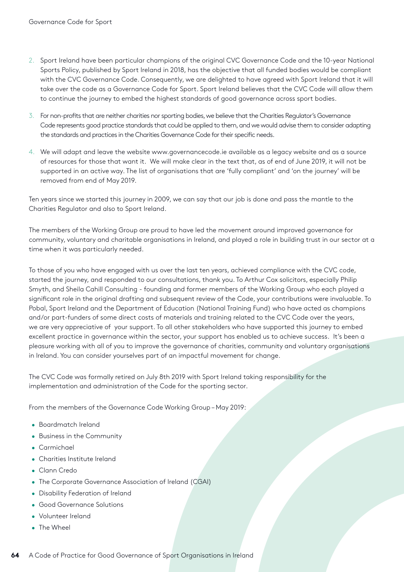- 2. Sport Ireland have been particular champions of the original CVC Governance Code and the 10-year National Sports Policy, published by Sport Ireland in 2018, has the objective that all funded bodies would be compliant with the CVC Governance Code. Consequently, we are delighted to have agreed with Sport Ireland that it will take over the code as a Governance Code for Sport. Sport Ireland believes that the CVC Code will allow them to continue the journey to embed the highest standards of good governance across sport bodies.
- 3. For non-profits that are neither charities nor sporting bodies, we believe that the Charities Regulator's Governance Code represents good practice standards that could be applied to them, and we would advise them to consider adapting the standards and practices in the Charities Governance Code for their specific needs.
- 4. We will adapt and leave the website www.governancecode.ie available as a legacy website and as a source of resources for those that want it. We will make clear in the text that, as of end of June 2019, it will not be supported in an active way. The list of organisations that are 'fully compliant' and 'on the journey' will be removed from end of May 2019.

Ten years since we started this journey in 2009, we can say that our job is done and pass the mantle to the Charities Regulator and also to Sport Ireland.

The members of the Working Group are proud to have led the movement around improved governance for community, voluntary and charitable organisations in Ireland, and played a role in building trust in our sector at a time when it was particularly needed.

To those of you who have engaged with us over the last ten years, achieved compliance with the CVC code, started the journey, and responded to our consultations, thank you. To Arthur Cox solicitors, especially Philip Smyth, and Sheila Cahill Consulting - founding and former members of the Working Group who each played a significant role in the original drafting and subsequent review of the Code, your contributions were invaluable. To Pobal, Sport Ireland and the Department of Education (National Training Fund) who have acted as champions and/or part-funders of some direct costs of materials and training related to the CVC Code over the years, we are very appreciative of your support. To all other stakeholders who have supported this journey to embed excellent practice in governance within the sector, your support has enabled us to achieve success. It's been a pleasure working with all of you to improve the governance of charities, community and voluntary organisations in Ireland. You can consider yourselves part of an impactful movement for change.

The CVC Code was formally retired on July 8th 2019 with Sport Ireland taking responsibility for the implementation and administration of the Code for the sporting sector.

From the members of the Governance Code Working Group – May 2019:

- Boardmatch Ireland
- Business in the Community
- Carmichael
- Charities Institute Ireland
- Clann Credo
- The Corporate Governance Association of Ireland (CGAI)
- Disability Federation of Ireland
- Good Governance Solutions
- Volunteer Ireland
- The Wheel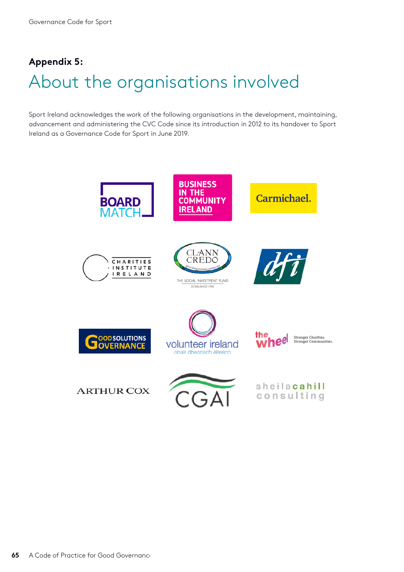## <span id="page-64-0"></span>**Appendix 5:** About the organisations involved

Sport Ireland acknowledges the work of the following organisations in the development, maintaining, advancement and administering the CVC Code since its introduction in 2012 to its handover to Sport Ireland as a Governance Code for Sport in June 2019.